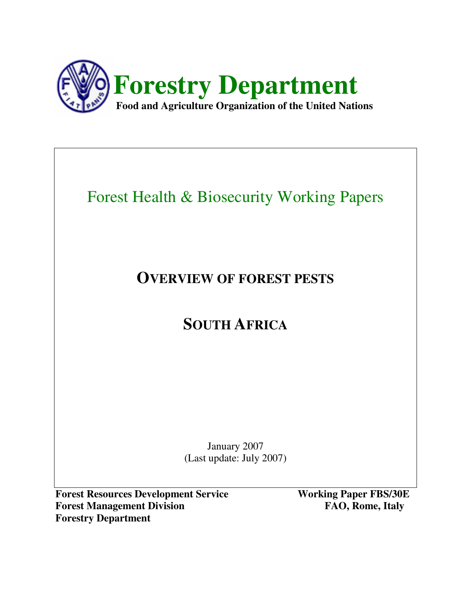

# Forest Health & Biosecurity Working Papers

# **OVERVIEW OF FOREST PESTS**

# **SOUTH AFRICA**

January 2007 (Last update: July 2007)

**Forest Resources Development Service Working Paper FBS/30E Forest Management Division FAO, Rome, Italy Forestry Department**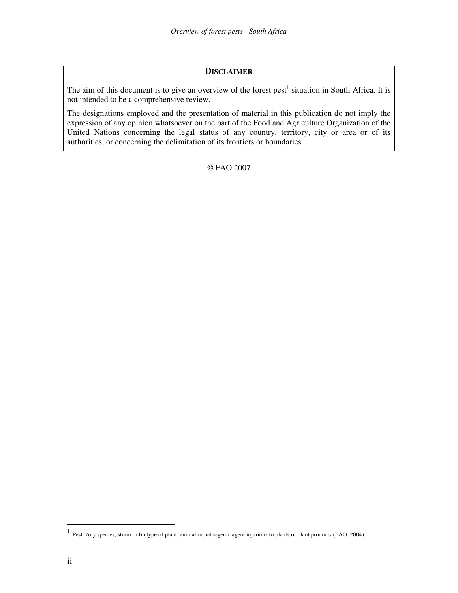#### **DISCLAIMER**

The aim of this document is to give an overview of the forest pest<sup>1</sup> situation in South Africa. It is not intended to be a comprehensive review.

The designations employed and the presentation of material in this publication do not imply the expression of any opinion whatsoever on the part of the Food and Agriculture Organization of the United Nations concerning the legal status of any country, territory, city or area or of its authorities, or concerning the delimitation of its frontiers or boundaries.

© FAO 2007

<sup>&</sup>lt;sup>1</sup> Pest: Any species, strain or biotype of plant, animal or pathogenic agent injurious to plants or plant products (FAO, 2004).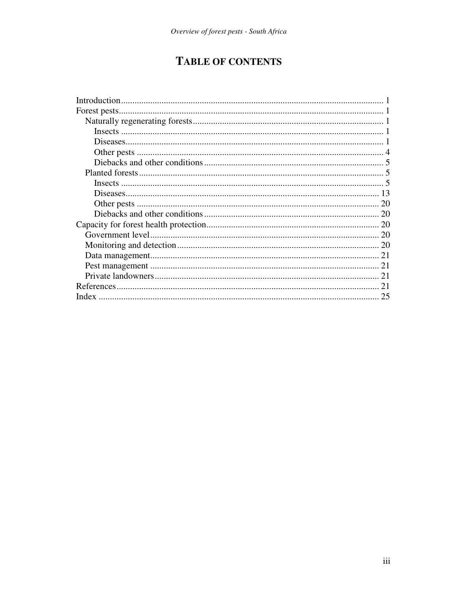# **TABLE OF CONTENTS**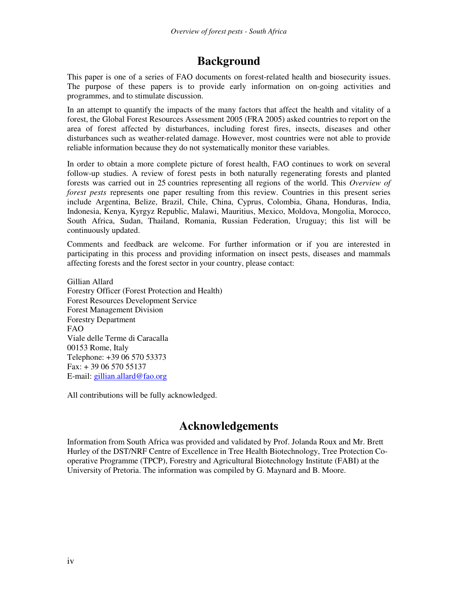# **Background**

This paper is one of a series of FAO documents on forest-related health and biosecurity issues. The purpose of these papers is to provide early information on on-going activities and programmes, and to stimulate discussion.

In an attempt to quantify the impacts of the many factors that affect the health and vitality of a forest, the Global Forest Resources Assessment 2005 (FRA 2005) asked countries to report on the area of forest affected by disturbances, including forest fires, insects, diseases and other disturbances such as weather-related damage. However, most countries were not able to provide reliable information because they do not systematically monitor these variables.

In order to obtain a more complete picture of forest health, FAO continues to work on several follow-up studies. A review of forest pests in both naturally regenerating forests and planted forests was carried out in 25 countries representing all regions of the world. This *Overview of forest pests* represents one paper resulting from this review. Countries in this present series include Argentina, Belize, Brazil, Chile, China, Cyprus, Colombia, Ghana, Honduras, India, Indonesia, Kenya, Kyrgyz Republic, Malawi, Mauritius, Mexico, Moldova, Mongolia, Morocco, South Africa, Sudan, Thailand, Romania, Russian Federation, Uruguay; this list will be continuously updated.

Comments and feedback are welcome. For further information or if you are interested in participating in this process and providing information on insect pests, diseases and mammals affecting forests and the forest sector in your country, please contact:

Gillian Allard Forestry Officer (Forest Protection and Health) Forest Resources Development Service Forest Management Division Forestry Department FAO Viale delle Terme di Caracalla 00153 Rome, Italy Telephone: +39 06 570 53373 Fax: + 39 06 570 55137 E-mail: gillian.allard@fao.org

All contributions will be fully acknowledged.

# **Acknowledgements**

Information from South Africa was provided and validated by Prof. Jolanda Roux and Mr. Brett Hurley of the DST/NRF Centre of Excellence in Tree Health Biotechnology, Tree Protection Cooperative Programme (TPCP), Forestry and Agricultural Biotechnology Institute (FABI) at the University of Pretoria. The information was compiled by G. Maynard and B. Moore.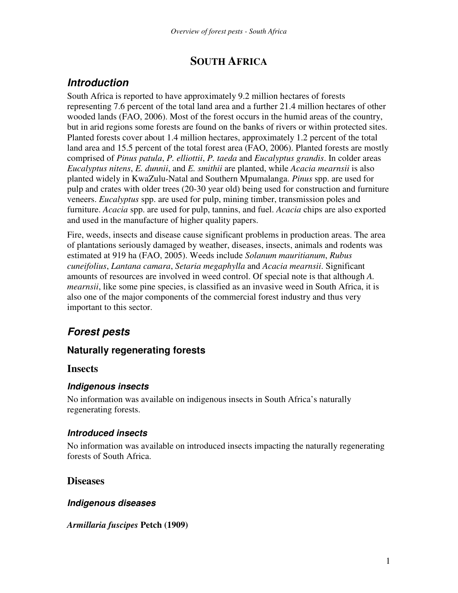# **SOUTH AFRICA**

# *Introduction*

South Africa is reported to have approximately 9.2 million hectares of forests representing 7.6 percent of the total land area and a further 21.4 million hectares of other wooded lands (FAO, 2006). Most of the forest occurs in the humid areas of the country, but in arid regions some forests are found on the banks of rivers or within protected sites. Planted forests cover about 1.4 million hectares, approximately 1.2 percent of the total land area and 15.5 percent of the total forest area (FAO, 2006). Planted forests are mostly comprised of *Pinus patula*, *P. elliottii*, *P. taeda* and *Eucalyptus grandis*. In colder areas *Eucalyptus nitens*, *E. dunnii*, and *E. smithii* are planted, while *Acacia mearnsii* is also planted widely in KwaZulu-Natal and Southern Mpumalanga. *Pinus* spp. are used for pulp and crates with older trees (20-30 year old) being used for construction and furniture veneers. *Eucalyptus* spp. are used for pulp, mining timber, transmission poles and furniture. *Acacia* spp. are used for pulp, tannins, and fuel. *Acacia* chips are also exported and used in the manufacture of higher quality papers.

Fire, weeds, insects and disease cause significant problems in production areas. The area of plantations seriously damaged by weather, diseases, insects, animals and rodents was estimated at 919 ha (FAO, 2005). Weeds include *Solanum mauritianum*, *Rubus cuneifolius*, *Lantana camara*, *Setaria megaphylla* and *Acacia mearnsii*. Significant amounts of resources are involved in weed control. Of special note is that although *A. mearnsii*, like some pine species, is classified as an invasive weed in South Africa, it is also one of the major components of the commercial forest industry and thus very important to this sector.

# *Forest pests*

# **Naturally regenerating forests**

## **Insects**

## *Indigenous insects*

No information was available on indigenous insects in South Africa's naturally regenerating forests.

## *Introduced insects*

No information was available on introduced insects impacting the naturally regenerating forests of South Africa.

# **Diseases**

## *Indigenous diseases*

*Armillaria fuscipes* **Petch (1909)**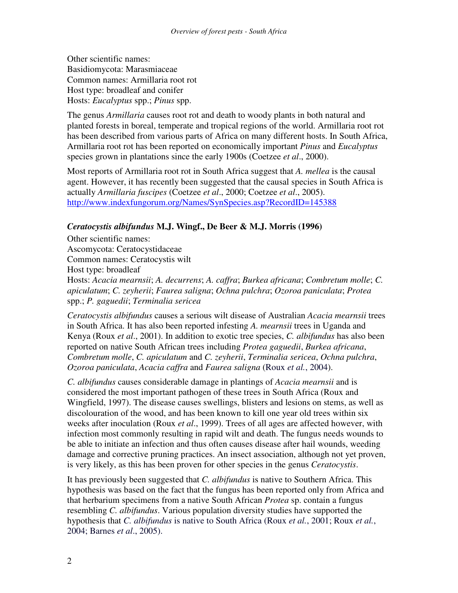Other scientific names: Basidiomycota: Marasmiaceae Common names: Armillaria root rot Host type: broadleaf and conifer Hosts: *Eucalyptus* spp.; *Pinus* spp.

The genus *Armillaria* causes root rot and death to woody plants in both natural and planted forests in boreal, temperate and tropical regions of the world. Armillaria root rot has been described from various parts of Africa on many different hosts. In South Africa, Armillaria root rot has been reported on economically important *Pinus* and *Eucalyptus* species grown in plantations since the early 1900s (Coetzee *et al*., 2000).

Most reports of Armillaria root rot in South Africa suggest that *A. mellea* is the causal agent. However, it has recently been suggested that the causal species in South Africa is actually *Armillaria fuscipes* (Coetzee *et al*., 2000; Coetzee *et al*., 2005). http://www.indexfungorum.org/Names/SynSpecies.asp?RecordID=145388

#### *Ceratocystis albifundus* **M.J. Wingf., De Beer & M.J. Morris (1996)**

Other scientific names: Ascomycota: Ceratocystidaceae Common names: Ceratocystis wilt Host type: broadleaf Hosts: *Acacia mearnsii*; *A. decurrens*; *A. caffra*; *Burkea africana*; *Combretum molle*; *C. apiculatum*; *C. zeyherii*; *Faurea saligna*; *Ochna pulchra*; *Ozoroa paniculata*; *Protea* spp.; *P. gaguedii*; *Terminalia sericea*

*Ceratocystis albifundus* causes a serious wilt disease of Australian *Acacia mearnsii* trees in South Africa. It has also been reported infesting *A. mearnsii* trees in Uganda and Kenya (Roux *et al*., 2001). In addition to exotic tree species, *C. albifundus* has also been reported on native South African trees including *Protea gaguedii*, *Burkea africana*, *Combretum molle*, *C. apiculatum* and *C. zeyherii*, *Terminalia sericea*, *Ochna pulchra*, *Ozoroa paniculata*, *Acacia caffra* and *Faurea saligna* (Roux *et al.*, 2004).

*C. albifundus* causes considerable damage in plantings of *Acacia mearnsii* and is considered the most important pathogen of these trees in South Africa (Roux and Wingfield, 1997). The disease causes swellings, blisters and lesions on stems, as well as discolouration of the wood, and has been known to kill one year old trees within six weeks after inoculation (Roux *et al*., 1999). Trees of all ages are affected however, with infection most commonly resulting in rapid wilt and death. The fungus needs wounds to be able to initiate an infection and thus often causes disease after hail wounds, weeding damage and corrective pruning practices. An insect association, although not yet proven, is very likely, as this has been proven for other species in the genus *Ceratocystis*.

It has previously been suggested that *C. albifundus* is native to Southern Africa. This hypothesis was based on the fact that the fungus has been reported only from Africa and that herbarium specimens from a native South African *Protea* sp. contain a fungus resembling *C. albifundus*. Various population diversity studies have supported the hypothesis that *C. albifundus* is native to South Africa (Roux *et al.*, 2001; Roux *et al.*, 2004; Barnes *et al*., 2005).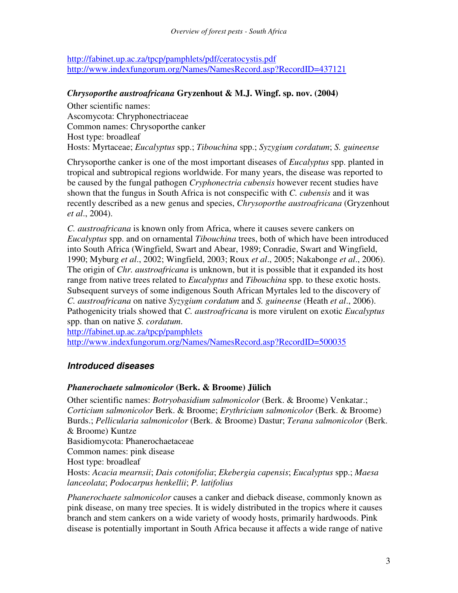http://fabinet.up.ac.za/tpcp/pamphlets/pdf/ceratocystis.pdf http://www.indexfungorum.org/Names/NamesRecord.asp?RecordID=437121

#### *Chrysoporthe austroafricana* **Gryzenhout & M.J. Wingf. sp. nov. (2004)**

Other scientific names: Ascomycota: Chryphonectriaceae Common names: Chrysoporthe canker Host type: broadleaf Hosts: Myrtaceae; *Eucalyptus* spp.; *Tibouchina* spp.; *Syzygium cordatum*; *S. guineense*

Chrysoporthe canker is one of the most important diseases of *Eucalyptus* spp. planted in tropical and subtropical regions worldwide. For many years, the disease was reported to be caused by the fungal pathogen *Cryphonectria cubensis* however recent studies have shown that the fungus in South Africa is not conspecific with *C. cubensis* and it was recently described as a new genus and species, *Chrysoporthe austroafricana* (Gryzenhout *et al*., 2004).

*C. austroafricana* is known only from Africa, where it causes severe cankers on *Eucalyptus* spp. and on ornamental *Tibouchina* trees, both of which have been introduced into South Africa (Wingfield, Swart and Abear, 1989; Conradie, Swart and Wingfield, 1990; Myburg *et al*., 2002; Wingfield, 2003; Roux *et al*., 2005; Nakabonge *et al*., 2006). The origin of *Chr. austroafricana* is unknown, but it is possible that it expanded its host range from native trees related to *Eucalyptus* and *Tibouchina* spp. to these exotic hosts. Subsequent surveys of some indigenous South African Myrtales led to the discovery of *C. austroafricana* on native *Syzygium cordatum* and *S. guineense* (Heath *et al*., 2006). Pathogenicity trials showed that *C. austroafricana* is more virulent on exotic *Eucalyptus* spp. than on native *S. cordatum*.

http://fabinet.up.ac.za/tpcp/pamphlets http://www.indexfungorum.org/Names/NamesRecord.asp?RecordID=500035

## *Introduced diseases*

### *Phanerochaete salmonicolor* **(Berk. & Broome) Jülich**

Other scientific names: *Botryobasidium salmonicolor* (Berk. & Broome) Venkatar.; *Corticium salmonicolor* Berk. & Broome; *Erythricium salmonicolor* (Berk. & Broome) Burds.; *Pellicularia salmonicolor* (Berk. & Broome) Dastur; *Terana salmonicolor* (Berk. & Broome) Kuntze Basidiomycota: Phanerochaetaceae Common names: pink disease Host type: broadleaf Hosts: *Acacia mearnsii*; *Dais cotonifolia*; *Ekebergia capensis*; *Eucalyptus* spp.; *Maesa lanceolata*; *Podocarpus henkellii*; *P. latifolius*

*Phanerochaete salmonicolor* causes a canker and dieback disease, commonly known as pink disease, on many tree species. It is widely distributed in the tropics where it causes branch and stem cankers on a wide variety of woody hosts, primarily hardwoods. Pink disease is potentially important in South Africa because it affects a wide range of native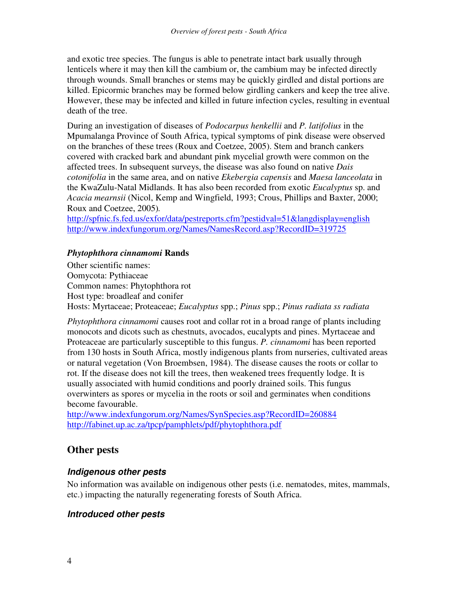and exotic tree species. The fungus is able to penetrate intact bark usually through lenticels where it may then kill the cambium or, the cambium may be infected directly through wounds. Small branches or stems may be quickly girdled and distal portions are killed. Epicormic branches may be formed below girdling cankers and keep the tree alive. However, these may be infected and killed in future infection cycles, resulting in eventual death of the tree.

During an investigation of diseases of *Podocarpus henkellii* and *P. latifolius* in the Mpumalanga Province of South Africa, typical symptoms of pink disease were observed on the branches of these trees (Roux and Coetzee, 2005). Stem and branch cankers covered with cracked bark and abundant pink mycelial growth were common on the affected trees. In subsequent surveys, the disease was also found on native *Dais cotonifolia* in the same area, and on native *Ekebergia capensis* and *Maesa lanceolata* in the KwaZulu-Natal Midlands. It has also been recorded from exotic *Eucalyptus* sp. and *Acacia mearnsii* (Nicol, Kemp and Wingfield, 1993; Crous, Phillips and Baxter, 2000; Roux and Coetzee, 2005)*.*

http://spfnic.fs.fed.us/exfor/data/pestreports.cfm?pestidval=51&langdisplay=english http://www.indexfungorum.org/Names/NamesRecord.asp?RecordID=319725

#### *Phytophthora cinnamomi* **Rands**

Other scientific names: Oomycota: Pythiaceae Common names: Phytophthora rot Host type: broadleaf and conifer Hosts: Myrtaceae; Proteaceae; *Eucalyptus* spp.; *Pinus* spp.; *Pinus radiata ss radiata*

*Phytophthora cinnamomi* causes root and collar rot in a broad range of plants including monocots and dicots such as chestnuts, avocados, eucalypts and pines. Myrtaceae and Proteaceae are particularly susceptible to this fungus. *P. cinnamomi* has been reported from 130 hosts in South Africa, mostly indigenous plants from nurseries, cultivated areas or natural vegetation (Von Broembsen, 1984). The disease causes the roots or collar to rot. If the disease does not kill the trees, then weakened trees frequently lodge. It is usually associated with humid conditions and poorly drained soils. This fungus overwinters as spores or mycelia in the roots or soil and germinates when conditions become favourable.

http://www.indexfungorum.org/Names/SynSpecies.asp?RecordID=260884 http://fabinet.up.ac.za/tpcp/pamphlets/pdf/phytophthora.pdf

## **Other pests**

### *Indigenous other pests*

No information was available on indigenous other pests (i.e. nematodes, mites, mammals, etc.) impacting the naturally regenerating forests of South Africa.

### *Introduced other pests*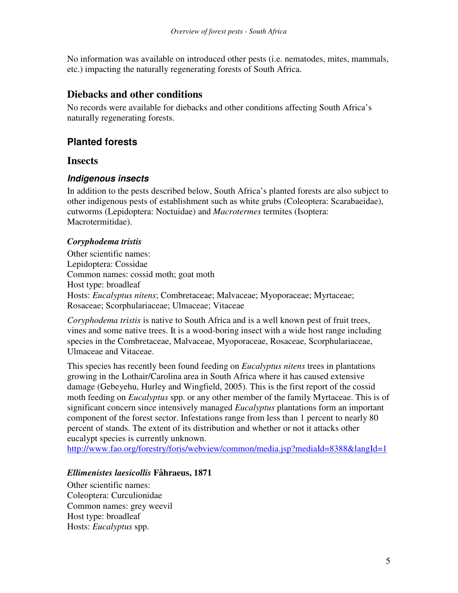No information was available on introduced other pests (i.e. nematodes, mites, mammals, etc.) impacting the naturally regenerating forests of South Africa.

## **Diebacks and other conditions**

No records were available for diebacks and other conditions affecting South Africa's naturally regenerating forests.

# **Planted forests**

#### **Insects**

#### *Indigenous insects*

In addition to the pests described below, South Africa's planted forests are also subject to other indigenous pests of establishment such as white grubs (Coleoptera: Scarabaeidae), cutworms (Lepidoptera: Noctuidae) and *Macrotermes* termites (Isoptera: Macrotermitidae).

#### *Coryphodema tristis*

Other scientific names: Lepidoptera: Cossidae Common names: cossid moth; goat moth Host type: broadleaf Hosts: *Eucalyptus nitens*; Combretaceae; Malvaceae; Myoporaceae; Myrtaceae; Rosaceae; Scorphulariaceae; Ulmaceae; Vitaceae

*Coryphodema tristis* is native to South Africa and is a well known pest of fruit trees, vines and some native trees. It is a wood-boring insect with a wide host range including species in the Combretaceae, Malvaceae, Myoporaceae, Rosaceae, Scorphulariaceae, Ulmaceae and Vitaceae.

This species has recently been found feeding on *Eucalyptus nitens* trees in plantations growing in the Lothair/Carolina area in South Africa where it has caused extensive damage (Gebeyehu, Hurley and Wingfield, 2005). This is the first report of the cossid moth feeding on *Eucalyptus* spp. or any other member of the family Myrtaceae. This is of significant concern since intensively managed *Eucalyptus* plantations form an important component of the forest sector. Infestations range from less than 1 percent to nearly 80 percent of stands. The extent of its distribution and whether or not it attacks other eucalypt species is currently unknown.

http://www.fao.org/forestry/foris/webview/common/media.jsp?mediaId=8388&langId=1

#### *Ellimenistes laesicollis* **Fåhraeus, 1871**

Other scientific names: Coleoptera: Curculionidae Common names: grey weevil Host type: broadleaf Hosts: *Eucalyptus* spp.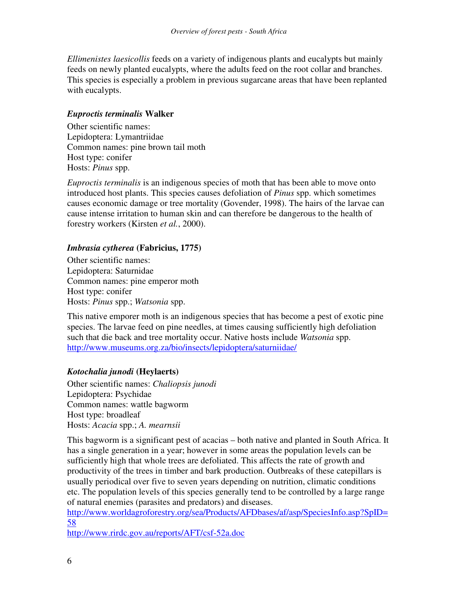*Ellimenistes laesicollis* feeds on a variety of indigenous plants and eucalypts but mainly feeds on newly planted eucalypts, where the adults feed on the root collar and branches. This species is especially a problem in previous sugarcane areas that have been replanted with eucalypts.

#### *Euproctis terminalis* **Walker**

Other scientific names: Lepidoptera: Lymantriidae Common names: pine brown tail moth Host type: conifer Hosts: *Pinus* spp.

*Euproctis terminalis* is an indigenous species of moth that has been able to move onto introduced host plants. This species causes defoliation of *Pinus* spp. which sometimes causes economic damage or tree mortality (Govender, 1998). The hairs of the larvae can cause intense irritation to human skin and can therefore be dangerous to the health of forestry workers (Kirsten *et al.*, 2000).

#### *Imbrasia cytherea* **(Fabricius, 1775)**

Other scientific names: Lepidoptera: Saturnidae Common names: pine emperor moth Host type: conifer Hosts: *Pinus* spp.; *Watsonia* spp.

This native emporer moth is an indigenous species that has become a pest of exotic pine species. The larvae feed on pine needles, at times causing sufficiently high defoliation such that die back and tree mortality occur. Native hosts include *Watsonia* spp. http://www.museums.org.za/bio/insects/lepidoptera/saturniidae/

#### *Kotochalia junodi* **(Heylaerts)**

Other scientific names: *Chaliopsis junodi* Lepidoptera: Psychidae Common names: wattle bagworm Host type: broadleaf Hosts: *Acacia* spp.; *A. mearnsii*

This bagworm is a significant pest of acacias – both native and planted in South Africa. It has a single generation in a year; however in some areas the population levels can be sufficiently high that whole trees are defoliated. This affects the rate of growth and productivity of the trees in timber and bark production. Outbreaks of these catepillars is usually periodical over five to seven years depending on nutrition, climatic conditions etc. The population levels of this species generally tend to be controlled by a large range of natural enemies (parasites and predators) and diseases.

http://www.worldagroforestry.org/sea/Products/AFDbases/af/asp/SpeciesInfo.asp?SpID= 58

http://www.rirdc.gov.au/reports/AFT/csf-52a.doc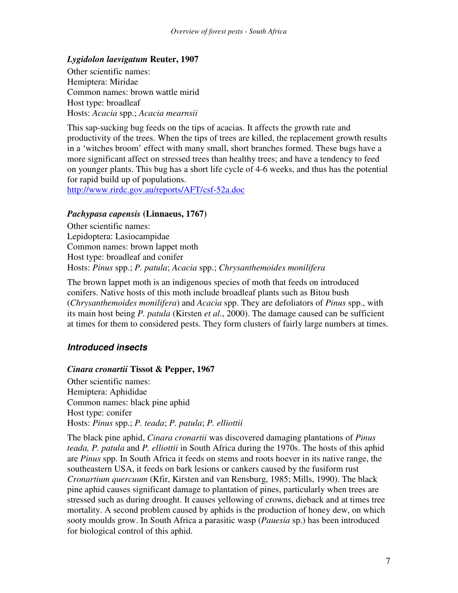#### *Lygidolon laevigatum* **Reuter, 1907**

Other scientific names: Hemiptera: Miridae Common names: brown wattle mirid Host type: broadleaf Hosts: *Acacia* spp.; *Acacia mearnsii*

This sap-sucking bug feeds on the tips of acacias. It affects the growth rate and productivity of the trees. When the tips of trees are killed, the replacement growth results in a 'witches broom' effect with many small, short branches formed. These bugs have a more significant affect on stressed trees than healthy trees; and have a tendency to feed on younger plants. This bug has a short life cycle of 4-6 weeks, and thus has the potential for rapid build up of populations.

http://www.rirdc.gov.au/reports/AFT/csf-52a.doc

#### *Pachypasa capensis* **(Linnaeus, 1767)**

Other scientific names: Lepidoptera: Lasiocampidae Common names: brown lappet moth Host type: broadleaf and conifer Hosts: *Pinus* spp.; *P. patula*; *Acacia* spp.; *Chrysanthemoides monilifera*

The brown lappet moth is an indigenous species of moth that feeds on introduced conifers. Native hosts of this moth include broadleaf plants such as Bitou bush (*Chrysanthemoides monilifera*) and *Acacia* spp. They are defoliators of *Pinus* spp., with its main host being *P. patula* (Kirsten *et al.*, 2000). The damage caused can be sufficient at times for them to considered pests. They form clusters of fairly large numbers at times.

#### *Introduced insects*

#### *Cinara cronartii* **Tissot & Pepper, 1967**

Other scientific names: Hemiptera: Aphididae Common names: black pine aphid Host type: conifer Hosts: *Pinus* spp.; *P. teada*; *P. patula*; *P. elliottii*

The black pine aphid, *Cinara cronartii* was discovered damaging plantations of *Pinus teada, P. patula* and *P. elliottii* in South Africa during the 1970s. The hosts of this aphid are *Pinus* spp. In South Africa it feeds on stems and roots hoever in its native range, the southeastern USA, it feeds on bark lesions or cankers caused by the fusiform rust *Cronartium quercuum* (Kfir, Kirsten and van Rensburg, 1985; Mills, 1990). The black pine aphid causes significant damage to plantation of pines, particularly when trees are stressed such as during drought. It causes yellowing of crowns, dieback and at times tree mortality. A second problem caused by aphids is the production of honey dew, on which sooty moulds grow. In South Africa a parasitic wasp (*Pauesia* sp.) has been introduced for biological control of this aphid.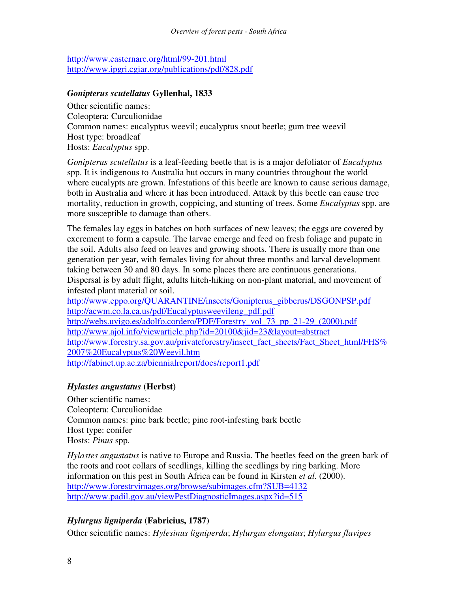http://www.easternarc.org/html/99-201.html http://www.ipgri.cgiar.org/publications/pdf/828.pdf

#### *Gonipterus scutellatus* **Gyllenhal, 1833**

Other scientific names: Coleoptera: Curculionidae Common names: eucalyptus weevil; eucalyptus snout beetle; gum tree weevil Host type: broadleaf Hosts: *Eucalyptus* spp.

*Gonipterus scutellatus* is a leaf-feeding beetle that is is a major defoliator of *Eucalyptus* spp. It is indigenous to Australia but occurs in many countries throughout the world where eucalypts are grown. Infestations of this beetle are known to cause serious damage, both in Australia and where it has been introduced. Attack by this beetle can cause tree mortality, reduction in growth, coppicing, and stunting of trees. Some *Eucalyptus* spp. are more susceptible to damage than others.

The females lay eggs in batches on both surfaces of new leaves; the eggs are covered by excrement to form a capsule. The larvae emerge and feed on fresh foliage and pupate in the soil. Adults also feed on leaves and growing shoots. There is usually more than one generation per year, with females living for about three months and larval development taking between 30 and 80 days. In some places there are continuous generations. Dispersal is by adult flight, adults hitch-hiking on non-plant material, and movement of infested plant material or soil.

http://www.eppo.org/QUARANTINE/insects/Gonipterus\_gibberus/DSGONPSP.pdf http://acwm.co.la.ca.us/pdf/Eucalyptusweevileng\_pdf.pdf http://webs.uvigo.es/adolfo.cordero/PDF/Forestry\_vol\_73\_pp\_21-29\_(2000).pdf http://www.ajol.info/viewarticle.php?id=20100&jid=23&layout=abstract http://www.forestry.sa.gov.au/privateforestry/insect\_fact\_sheets/Fact\_Sheet\_html/FHS% 2007%20Eucalyptus%20Weevil.htm http://fabinet.up.ac.za/biennialreport/docs/report1.pdf

### *Hylastes angustatus* **(Herbst)**

Other scientific names: Coleoptera: Curculionidae Common names: pine bark beetle; pine root-infesting bark beetle Host type: conifer Hosts: *Pinus* spp.

*Hylastes angustatus* is native to Europe and Russia. The beetles feed on the green bark of the roots and root collars of seedlings, killing the seedlings by ring barking. More information on this pest in South Africa can be found in Kirsten *et al.* (2000). http://www.forestryimages.org/browse/subimages.cfm?SUB=4132 http://www.padil.gov.au/viewPestDiagnosticImages.aspx?id=515

## *Hylurgus ligniperda* **(Fabricius, 1787)**

Other scientific names: *Hylesinus ligniperda*; *Hylurgus elongatus*; *Hylurgus flavipes*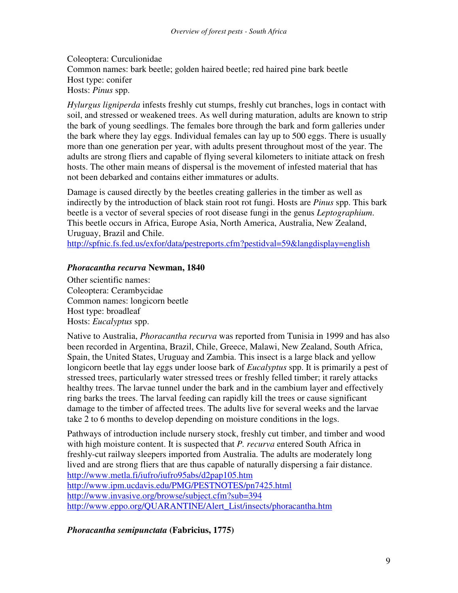Coleoptera: Curculionidae

Common names: bark beetle; golden haired beetle; red haired pine bark beetle Host type: conifer

Hosts: *Pinus* spp.

*Hylurgus ligniperda* infests freshly cut stumps, freshly cut branches, logs in contact with soil, and stressed or weakened trees. As well during maturation, adults are known to strip the bark of young seedlings. The females bore through the bark and form galleries under the bark where they lay eggs. Individual females can lay up to 500 eggs. There is usually more than one generation per year, with adults present throughout most of the year. The adults are strong fliers and capable of flying several kilometers to initiate attack on fresh hosts. The other main means of dispersal is the movement of infested material that has not been debarked and contains either immatures or adults.

Damage is caused directly by the beetles creating galleries in the timber as well as indirectly by the introduction of black stain root rot fungi. Hosts are *Pinus* spp. This bark beetle is a vector of several species of root disease fungi in the genus *Leptographium*. This beetle occurs in Africa, Europe Asia, North America, Australia, New Zealand, Uruguay, Brazil and Chile.

http://spfnic.fs.fed.us/exfor/data/pestreports.cfm?pestidval=59&langdisplay=english

### *Phoracantha recurva* **Newman, 1840**

Other scientific names: Coleoptera: Cerambycidae Common names: longicorn beetle Host type: broadleaf Hosts: *Eucalyptus* spp.

Native to Australia, *Phoracantha recurva* was reported from Tunisia in 1999 and has also been recorded in Argentina, Brazil, Chile, Greece, Malawi, New Zealand, South Africa, Spain, the United States, Uruguay and Zambia. This insect is a large black and yellow longicorn beetle that lay eggs under loose bark of *Eucalyptus* spp. It is primarily a pest of stressed trees, particularly water stressed trees or freshly felled timber; it rarely attacks healthy trees. The larvae tunnel under the bark and in the cambium layer and effectively ring barks the trees. The larval feeding can rapidly kill the trees or cause significant damage to the timber of affected trees. The adults live for several weeks and the larvae take 2 to 6 months to develop depending on moisture conditions in the logs.

Pathways of introduction include nursery stock, freshly cut timber, and timber and wood with high moisture content. It is suspected that *P. recurva* entered South Africa in freshly-cut railway sleepers imported from Australia. The adults are moderately long lived and are strong fliers that are thus capable of naturally dispersing a fair distance. http://www.metla.fi/iufro/iufro95abs/d2pap105.htm http://www.ipm.ucdavis.edu/PMG/PESTNOTES/pn7425.html http://www.invasive.org/browse/subject.cfm?sub=394 http://www.eppo.org/QUARANTINE/Alert\_List/insects/phoracantha.htm

*Phoracantha semipunctata* **(Fabricius, 1775)**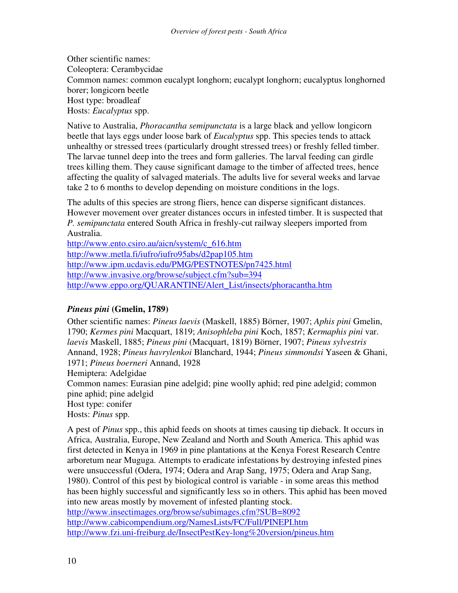Other scientific names: Coleoptera: Cerambycidae Common names: common eucalypt longhorn; eucalypt longhorn; eucalyptus longhorned borer; longicorn beetle Host type: broadleaf Hosts: *Eucalyptus* spp.

Native to Australia, *Phoracantha semipunctata* is a large black and yellow longicorn beetle that lays eggs under loose bark of *Eucalyptus* spp. This species tends to attack unhealthy or stressed trees (particularly drought stressed trees) or freshly felled timber. The larvae tunnel deep into the trees and form galleries. The larval feeding can girdle trees killing them. They cause significant damage to the timber of affected trees, hence affecting the quality of salvaged materials. The adults live for several weeks and larvae take 2 to 6 months to develop depending on moisture conditions in the logs.

The adults of this species are strong fliers, hence can disperse significant distances. However movement over greater distances occurs in infested timber. It is suspected that *P. semipunctata* entered South Africa in freshly-cut railway sleepers imported from Australia.

http://www.ento.csiro.au/aicn/system/c\_616.htm http://www.metla.fi/iufro/iufro95abs/d2pap105.htm http://www.ipm.ucdavis.edu/PMG/PESTNOTES/pn7425.html http://www.invasive.org/browse/subject.cfm?sub=394 http://www.eppo.org/QUARANTINE/Alert\_List/insects/phoracantha.htm

#### *Pineus pini* **(Gmelin, 1789)**

Other scientific names: *Pineus laevis* (Maskell, 1885) Börner, 1907; *Aphis pini* Gmelin, 1790; *Kermes pini* Macquart, 1819; *Anisophleba pini* Koch, 1857; *Kermaphis pini* var. *laevis* Maskell, 1885; *Pineus pini* (Macquart, 1819) Börner, 1907; *Pineus sylvestris* Annand, 1928; *Pineus havrylenkoi* Blanchard, 1944; *Pineus simmondsi* Yaseen & Ghani, 1971; *Pineus boerneri* Annand, 1928 Hemiptera: Adelgidae Common names: Eurasian pine adelgid; pine woolly aphid; red pine adelgid; common pine aphid; pine adelgid Host type: conifer Hosts: *Pinus* spp.

A pest of *Pinus* spp., this aphid feeds on shoots at times causing tip dieback. It occurs in Africa, Australia, Europe, New Zealand and North and South America. This aphid was first detected in Kenya in 1969 in pine plantations at the Kenya Forest Research Centre arboretum near Muguga. Attempts to eradicate infestations by destroying infested pines were unsuccessful (Odera, 1974; Odera and Arap Sang, 1975; Odera and Arap Sang, 1980). Control of this pest by biological control is variable - in some areas this method has been highly successful and significantly less so in others. This aphid has been moved into new areas mostly by movement of infested planting stock. http://www.insectimages.org/browse/subimages.cfm?SUB=8092 http://www.cabicompendium.org/NamesLists/FC/Full/PINEPI.htm http://www.fzi.uni-freiburg.de/InsectPestKey-long%20version/pineus.htm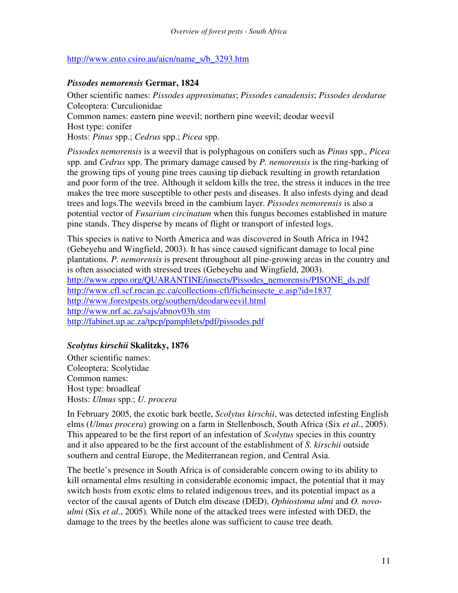#### http://www.ento.csiro.au/aicn/name\_s/b\_3293.htm

#### *Pissodes nemorensis* **Germar, 1824**

Other scientific names: *Pissodes approximatus*; *Pissodes canadensis*; *Pissodes deodarae* Coleoptera: Curculionidae Common names: eastern pine weevil; northern pine weevil; deodar weevil Host type: conifer Hosts: *Pinus* spp.; *Cedrus* spp.; *Picea* spp.

*Pissodes nemorensis* is a weevil that is polyphagous on conifers such as *Pinus* spp., *Picea* spp. and *Cedrus* spp. The primary damage caused by *P. nemorensis* is the ring-barking of the growing tips of young pine trees causing tip dieback resulting in growth retardation and poor form of the tree. Although it seldom kills the tree, the stress it induces in the tree makes the tree more susceptible to other pests and diseases. It also infests dying and dead trees and logs.The weevils breed in the cambium layer. *Pissodes nemorensis* is also a potential vector of *Fusarium circinatum* when this fungus becomes established in mature pine stands. They disperse by means of flight or transport of infested logs.

This species is native to North America and was discovered in South Africa in 1942 (Gebeyehu and Wingfield, 2003). It has since caused significant damage to local pine plantations. *P. nemorensis* is present throughout all pine-growing areas in the country and is often associated with stressed trees (Gebeyehu and Wingfield, 2003). http://www.eppo.org/QUARANTINE/insects/Pissodes\_nemorensis/PISONE\_ds.pdf http://www.cfl.scf.rncan.gc.ca/collections-cfl/ficheinsecte\_e.asp?id=1837 http://www.forestpests.org/southern/deodarweevil.html http://www.nrf.ac.za/sajs/abnov03h.stm http://fabinet.up.ac.za/tpcp/pamphlets/pdf/pissodes.pdf

#### *Scolytus kirschii* **Skalitzky, 1876**

Other scientific names: Coleoptera: Scolytidae Common names: Host type: broadleaf Hosts: *Ulmus* spp.; *U. procera*

In February 2005, the exotic bark beetle, *Scolytus kirschii*, was detected infesting English elms (*Ulmus procera*) growing on a farm in Stellenbosch, South Africa (Six *et al*., 2005). This appeared to be the first report of an infestation of *Scolytus* species in this country and it also appeared to be the first account of the establishment of *S. kirschii* outside southern and central Europe, the Mediterranean region, and Central Asia.

The beetle's presence in South Africa is of considerable concern owing to its ability to kill ornamental elms resulting in considerable economic impact, the potential that it may switch hosts from exotic elms to related indigenous trees, and its potential impact as a vector of the causal agents of Dutch elm disease (DED), *Ophiostoma ulmi* and *O. novoulmi* (Six *et al*., 2005)*.* While none of the attacked trees were infested with DED, the damage to the trees by the beetles alone was sufficient to cause tree death.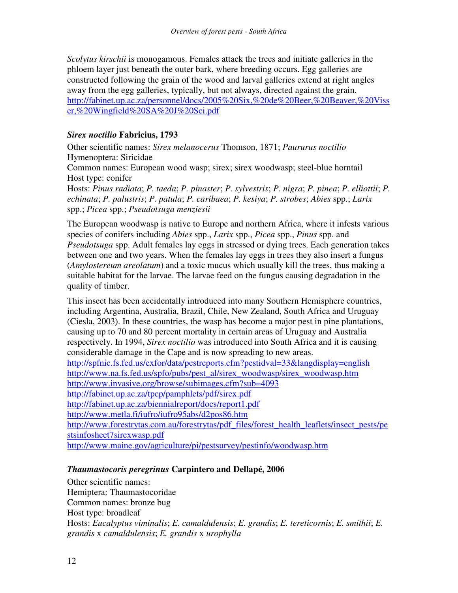*Scolytus kirschii* is monogamous. Females attack the trees and initiate galleries in the phloem layer just beneath the outer bark, where breeding occurs. Egg galleries are constructed following the grain of the wood and larval galleries extend at right angles away from the egg galleries, typically, but not always, directed against the grain. http://fabinet.up.ac.za/personnel/docs/2005%20Six,%20de%20Beer,%20Beaver,%20Viss er,%20Wingfield%20SA%20J%20Sci.pdf

#### *Sirex noctilio* **Fabricius, 1793**

Other scientific names: *Sirex melanocerus* Thomson, 1871; *Paururus noctilio* Hymenoptera: Siricidae

Common names: European wood wasp; sirex; sirex woodwasp; steel-blue horntail Host type: conifer

Hosts: *Pinus radiata*; *P. taeda*; *P. pinaster*; *P. sylvestris*; *P. nigra*; *P. pinea*; *P. elliottii*; *P. echinata*; *P. palustris*; *P. patula*; *P. caribaea*; *P. kesiya*; *P. strobes*; *Abies* spp.; *Larix* spp.; *Picea* spp.; *Pseudotsuga menziesii*

The European woodwasp is native to Europe and northern Africa, where it infests various species of conifers including *Abies* spp., *Larix* spp., *Picea* spp., *Pinus* spp. and *Pseudotsuga* spp. Adult females lay eggs in stressed or dying trees. Each generation takes between one and two years. When the females lay eggs in trees they also insert a fungus (*Amylostereum areolatum*) and a toxic mucus which usually kill the trees, thus making a suitable habitat for the larvae. The larvae feed on the fungus causing degradation in the quality of timber.

This insect has been accidentally introduced into many Southern Hemisphere countries, including Argentina, Australia, Brazil, Chile, New Zealand, South Africa and Uruguay (Ciesla, 2003). In these countries, the wasp has become a major pest in pine plantations, causing up to 70 and 80 percent mortality in certain areas of Uruguay and Australia respectively. In 1994, *Sirex noctilio* was introduced into South Africa and it is causing considerable damage in the Cape and is now spreading to new areas. http://spfnic.fs.fed.us/exfor/data/pestreports.cfm?pestidval=33&langdisplay=english http://www.na.fs.fed.us/spfo/pubs/pest\_al/sirex\_woodwasp/sirex\_woodwasp.htm

http://www.invasive.org/browse/subimages.cfm?sub=4093

http://fabinet.up.ac.za/tpcp/pamphlets/pdf/sirex.pdf

http://fabinet.up.ac.za/biennialreport/docs/report1.pdf

http://www.metla.fi/iufro/iufro95abs/d2pos86.htm

http://www.forestrytas.com.au/forestrytas/pdf\_files/forest\_health\_leaflets/insect\_pests/pe stsinfosheet7sirexwasp.pdf

http://www.maine.gov/agriculture/pi/pestsurvey/pestinfo/woodwasp.htm

### *Thaumastocoris peregrinus* **Carpintero and Dellapé, 2006**

Other scientific names: Hemiptera: Thaumastocoridae Common names: bronze bug Host type: broadleaf Hosts: *Eucalyptus viminalis*; *E. camaldulensis*; *E. grandis*; *E. tereticornis*; *E. smithii*; *E. grandis* x *camaldulensis*; *E. grandis* x *urophylla*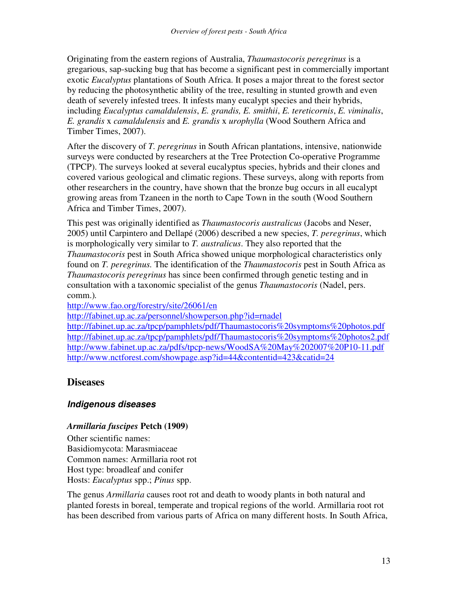Originating from the eastern regions of Australia, *Thaumastocoris peregrinus* is a gregarious, sap-sucking bug that has become a significant pest in commercially important exotic *Eucalyptus* plantations of South Africa. It poses a major threat to the forest sector by reducing the photosynthetic ability of the tree, resulting in stunted growth and even death of severely infested trees. It infests many eucalypt species and their hybrids, including *Eucalyptus camaldulensis*, *E. grandis, E. smithii*, *E. tereticornis*, *E. viminalis*, *E. grandis* x *camaldulensis* and *E. grandis* x *urophylla* (Wood Southern Africa and Timber Times, 2007).

After the discovery of *T. peregrinus* in South African plantations, intensive, nationwide surveys were conducted by researchers at the Tree Protection Co-operative Programme (TPCP). The surveys looked at several eucalyptus species, hybrids and their clones and covered various geological and climatic regions. These surveys, along with reports from other researchers in the country, have shown that the bronze bug occurs in all eucalypt growing areas from Tzaneen in the north to Cape Town in the south (Wood Southern Africa and Timber Times, 2007).

This pest was originally identified as *Thaumastocoris australicus* (Jacobs and Neser, 2005) until Carpintero and Dellapé (2006) described a new species, *T. peregrinus*, which is morphologically very similar to *T. australicus*. They also reported that the *Thaumastocoris* pest in South Africa showed unique morphological characteristics only found on *T. peregrinus.* The identification of the *Thaumastocoris* pest in South Africa as *Thaumastocoris peregrinus* has since been confirmed through genetic testing and in consultation with a taxonomic specialist of the genus *Thaumastocoris* (Nadel, pers. comm.)*.*

http://www.fao.org/forestry/site/26061/en

http://fabinet.up.ac.za/personnel/showperson.php?id=rnadel

http://fabinet.up.ac.za/tpcp/pamphlets/pdf/Thaumastocoris%20symptoms%20photos.pdf http://fabinet.up.ac.za/tpcp/pamphlets/pdf/Thaumastocoris%20symptoms%20photos2.pdf http://www.fabinet.up.ac.za/pdfs/tpcp-news/WoodSA%20May%202007%20P10-11.pdf http://www.nctforest.com/showpage.asp?id=44&contentid=423&catid=24

### **Diseases**

#### *Indigenous diseases*

#### *Armillaria fuscipes* **Petch (1909)**

Other scientific names: Basidiomycota: Marasmiaceae Common names: Armillaria root rot Host type: broadleaf and conifer Hosts: *Eucalyptus* spp.; *Pinus* spp.

The genus *Armillaria* causes root rot and death to woody plants in both natural and planted forests in boreal, temperate and tropical regions of the world. Armillaria root rot has been described from various parts of Africa on many different hosts. In South Africa,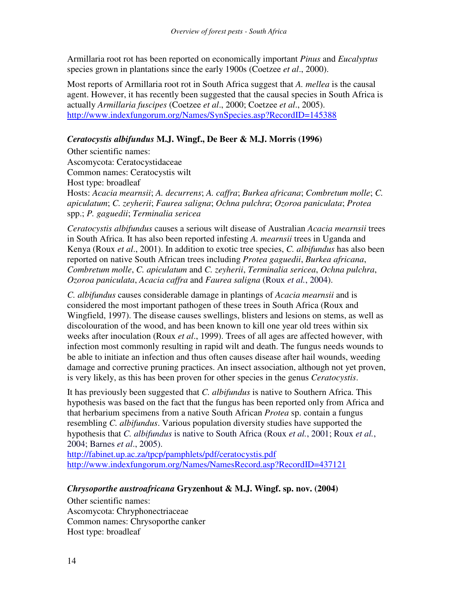Armillaria root rot has been reported on economically important *Pinus* and *Eucalyptus* species grown in plantations since the early 1900s (Coetzee *et al*., 2000).

Most reports of Armillaria root rot in South Africa suggest that *A. mellea* is the causal agent. However, it has recently been suggested that the causal species in South Africa is actually *Armillaria fuscipes* (Coetzee *et al*., 2000; Coetzee *et al*., 2005). http://www.indexfungorum.org/Names/SynSpecies.asp?RecordID=145388

#### *Ceratocystis albifundus* **M.J. Wingf., De Beer & M.J. Morris (1996)**

Other scientific names:

Ascomycota: Ceratocystidaceae Common names: Ceratocystis wilt Host type: broadleaf

Hosts: *Acacia mearnsii*; *A. decurrens*; *A. caffra*; *Burkea africana*; *Combretum molle*; *C. apiculatum*; *C. zeyherii*; *Faurea saligna*; *Ochna pulchra*; *Ozoroa paniculata*; *Protea* spp.; *P. gaguedii*; *Terminalia sericea*

*Ceratocystis albifundus* causes a serious wilt disease of Australian *Acacia mearnsii* trees in South Africa. It has also been reported infesting *A. mearnsii* trees in Uganda and Kenya (Roux *et al*., 2001). In addition to exotic tree species, *C. albifundus* has also been reported on native South African trees including *Protea gaguedii*, *Burkea africana*, *Combretum molle*, *C. apiculatum* and *C. zeyherii*, *Terminalia sericea*, *Ochna pulchra*, *Ozoroa paniculata*, *Acacia caffra* and *Faurea saligna* (Roux *et al.*, 2004).

*C. albifundus* causes considerable damage in plantings of *Acacia mearnsii* and is considered the most important pathogen of these trees in South Africa (Roux and Wingfield, 1997). The disease causes swellings, blisters and lesions on stems, as well as discolouration of the wood, and has been known to kill one year old trees within six weeks after inoculation (Roux *et al*., 1999). Trees of all ages are affected however, with infection most commonly resulting in rapid wilt and death. The fungus needs wounds to be able to initiate an infection and thus often causes disease after hail wounds, weeding damage and corrective pruning practices. An insect association, although not yet proven, is very likely, as this has been proven for other species in the genus *Ceratocystis*.

It has previously been suggested that *C. albifundus* is native to Southern Africa. This hypothesis was based on the fact that the fungus has been reported only from Africa and that herbarium specimens from a native South African *Protea* sp. contain a fungus resembling *C. albifundus*. Various population diversity studies have supported the hypothesis that *C. albifundus* is native to South Africa (Roux *et al.*, 2001; Roux *et al.*, 2004; Barnes *et al*., 2005).

http://fabinet.up.ac.za/tpcp/pamphlets/pdf/ceratocystis.pdf http://www.indexfungorum.org/Names/NamesRecord.asp?RecordID=437121

#### *Chrysoporthe austroafricana* **Gryzenhout & M.J. Wingf. sp. nov. (2004)**

Other scientific names: Ascomycota: Chryphonectriaceae Common names: Chrysoporthe canker Host type: broadleaf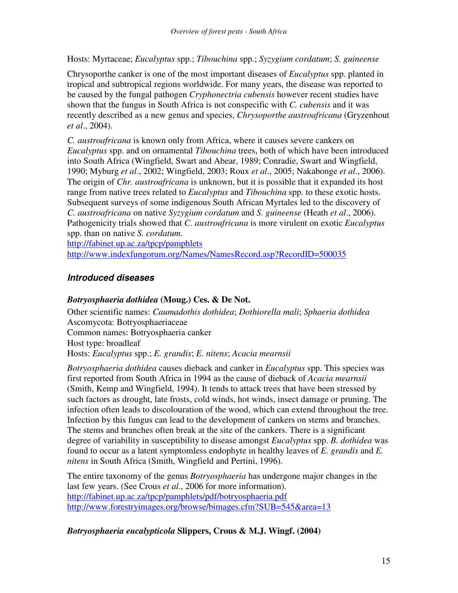Hosts: Myrtaceae; *Eucalyptus* spp.; *Tibouchina* spp.; *Syzygium cordatum*; *S. guineense*

Chrysoporthe canker is one of the most important diseases of *Eucalyptus* spp. planted in tropical and subtropical regions worldwide. For many years, the disease was reported to be caused by the fungal pathogen *Cryphonectria cubensis* however recent studies have shown that the fungus in South Africa is not conspecific with *C. cubensis* and it was recently described as a new genus and species, *Chrysoporthe austroafricana* (Gryzenhout *et al*., 2004).

*C. austroafricana* is known only from Africa, where it causes severe cankers on *Eucalyptus* spp. and on ornamental *Tibouchina* trees, both of which have been introduced into South Africa (Wingfield, Swart and Abear, 1989; Conradie, Swart and Wingfield, 1990; Myburg *et al*., 2002; Wingfield, 2003; Roux *et al*., 2005; Nakabonge *et al*., 2006). The origin of *Chr. austroafricana* is unknown, but it is possible that it expanded its host range from native trees related to *Eucalyptus* and *Tibouchina* spp. to these exotic hosts. Subsequent surveys of some indigenous South African Myrtales led to the discovery of *C. austroafricana* on native *Syzygium cordatum* and *S. guineense* (Heath *et al*., 2006). Pathogenicity trials showed that *C. austroafricana* is more virulent on exotic *Eucalyptus* spp. than on native *S. cordatum*.

http://fabinet.up.ac.za/tpcp/pamphlets

http://www.indexfungorum.org/Names/NamesRecord.asp?RecordID=500035

#### *Introduced diseases*

#### *Botryosphaeria dothidea* **(Moug.) Ces. & De Not.**

Other scientific names: *Caumadothis dothidea*; *Dothiorella mali*; *Sphaeria dothidea* Ascomycota: Botryosphaeriaceae Common names: Botryosphaeria canker Host type: broadleaf Hosts: *Eucalyptus* spp.; *E. grandis*; *E. nitens*; *Acacia mearnsii*

*Botryosphaeria dothidea* causes dieback and canker in *Eucalyptus* spp. This species was first reported from South Africa in 1994 as the cause of dieback of *Acacia mearnsii* (Smith, Kemp and Wingfield, 1994). It tends to attack trees that have been stressed by such factors as drought, late frosts, cold winds, hot winds, insect damage or pruning. The infection often leads to discolouration of the wood, which can extend throughout the tree. Infection by this fungus can lead to the development of cankers on stems and branches. The stems and branches often break at the site of the cankers. There is a significant degree of variability in susceptibility to disease amongst *Eucalyptus* spp. *B. dothidea* was found to occur as a latent symptomless endophyte in healthy leaves of *E. grandis* and *E. nitens* in South Africa (Smith, Wingfield and Pertini, 1996).

The entire taxonomy of the genus *Botryosphaeria* has undergone major changes in the last few years. (See Crous *et al*., 2006 for more information). http://fabinet.up.ac.za/tpcp/pamphlets/pdf/botryosphaeria.pdf http://www.forestryimages.org/browse/bimages.cfm?SUB=545&area=13

#### *Botryosphaeria eucalypticola* **Slippers, Crous & M.J. Wingf. (2004)**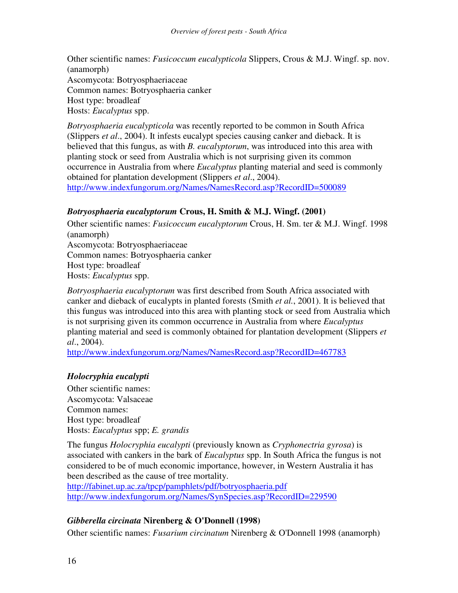Other scientific names: *Fusicoccum eucalypticola* Slippers, Crous & M.J. Wingf. sp. nov. (anamorph) Ascomycota: Botryosphaeriaceae Common names: Botryosphaeria canker Host type: broadleaf Hosts: *Eucalyptus* spp.

*Botryosphaeria eucalypticola* was recently reported to be common in South Africa (Slippers *et al*., 2004). It infests eucalypt species causing canker and dieback. It is believed that this fungus, as with *B. eucalyptorum*, was introduced into this area with planting stock or seed from Australia which is not surprising given its common occurrence in Australia from where *Eucalyptus* planting material and seed is commonly obtained for plantation development (Slippers *et al*., 2004). http://www.indexfungorum.org/Names/NamesRecord.asp?RecordID=500089

#### *Botryosphaeria eucalyptorum* **Crous, H. Smith & M.J. Wingf. (2001)**

Other scientific names: *Fusicoccum eucalyptorum* Crous, H. Sm. ter & M.J. Wingf. 1998 (anamorph) Ascomycota: Botryosphaeriaceae Common names: Botryosphaeria canker Host type: broadleaf Hosts: *Eucalyptus* spp.

*Botryosphaeria eucalyptorum* was first described from South Africa associated with canker and dieback of eucalypts in planted forests (Smith *et al.*, 2001). It is believed that this fungus was introduced into this area with planting stock or seed from Australia which is not surprising given its common occurrence in Australia from where *Eucalyptus* planting material and seed is commonly obtained for plantation development (Slippers *et al*., 2004).

http://www.indexfungorum.org/Names/NamesRecord.asp?RecordID=467783

#### *Holocryphia eucalypti*

Other scientific names: Ascomycota: Valsaceae Common names: Host type: broadleaf Hosts: *Eucalyptus* spp; *E. grandis*

The fungus *Holocryphia eucalypti* (previously known as *Cryphonectria gyrosa*) is associated with cankers in the bark of *Eucalyptus* spp. In South Africa the fungus is not considered to be of much economic importance, however, in Western Australia it has been described as the cause of tree mortality.

http://fabinet.up.ac.za/tpcp/pamphlets/pdf/botryosphaeria.pdf http://www.indexfungorum.org/Names/SynSpecies.asp?RecordID=229590

### *Gibberella circinata* **Nirenberg & O'Donnell (1998)**

Other scientific names: *Fusarium circinatum* Nirenberg & O'Donnell 1998 (anamorph)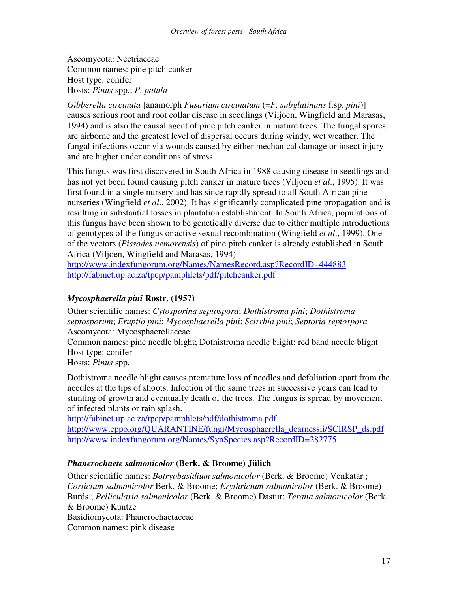Ascomycota: Nectriaceae Common names: pine pitch canker Host type: conifer Hosts: *Pinus* spp.; *P. patula*

*Gibberella circinata* [anamorph *Fusarium circinatum* (=*F. subglutinans* f.sp. *pini*)] causes serious root and root collar disease in seedlings (Viljoen, Wingfield and Marasas, 1994) and is also the causal agent of pine pitch canker in mature trees. The fungal spores are airborne and the greatest level of dispersal occurs during windy, wet weather. The fungal infections occur via wounds caused by either mechanical damage or insect injury and are higher under conditions of stress.

This fungus was first discovered in South Africa in 1988 causing disease in seedlings and has not yet been found causing pitch canker in mature trees (Viljoen *et al*., 1995). It was first found in a single nursery and has since rapidly spread to all South African pine nurseries (Wingfield *et al*., 2002). It has significantly complicated pine propagation and is resulting in substantial losses in plantation establishment. In South Africa, populations of this fungus have been shown to be genetically diverse due to either multiple introductions of genotypes of the fungus or active sexual recombination (Wingfield *et al*., 1999). One of the vectors (*Pissodes nemorensis*) of pine pitch canker is already established in South Africa (Viljoen, Wingfield and Marasas, 1994).

http://www.indexfungorum.org/Names/NamesRecord.asp?RecordID=444883 http://fabinet.up.ac.za/tpcp/pamphlets/pdf/pitchcanker.pdf

#### *Mycosphaerella pini* **Rostr. (1957)**

Other scientific names: *Cytosporina septospora*; *Dothistroma pini*; *Dothistroma septosporum*; *Eruptio pini*; *Mycosphaerella pini*; *Scirrhia pini*; *Septoria septospora* Ascomycota: Mycosphaerellaceae

Common names: pine needle blight; Dothistroma needle blight; red band needle blight Host type: conifer

Hosts: *Pinus* spp.

Dothistroma needle blight causes premature loss of needles and defoliation apart from the needles at the tips of shoots. Infection of the same trees in successive years can lead to stunting of growth and eventually death of the trees. The fungus is spread by movement of infected plants or rain splash.

http://fabinet.up.ac.za/tpcp/pamphlets/pdf/dothistroma.pdf http://www.eppo.org/OUARANTINE/fungi/Mycosphaerella\_dearnessii/SCIRSP\_ds.pdf http://www.indexfungorum.org/Names/SynSpecies.asp?RecordID=282775

#### *Phanerochaete salmonicolor* **(Berk. & Broome) Jülich**

Other scientific names: *Botryobasidium salmonicolor* (Berk. & Broome) Venkatar.; *Corticium salmonicolor* Berk. & Broome; *Erythricium salmonicolor* (Berk. & Broome) Burds.; *Pellicularia salmonicolor* (Berk. & Broome) Dastur; *Terana salmonicolor* (Berk. & Broome) Kuntze Basidiomycota: Phanerochaetaceae Common names: pink disease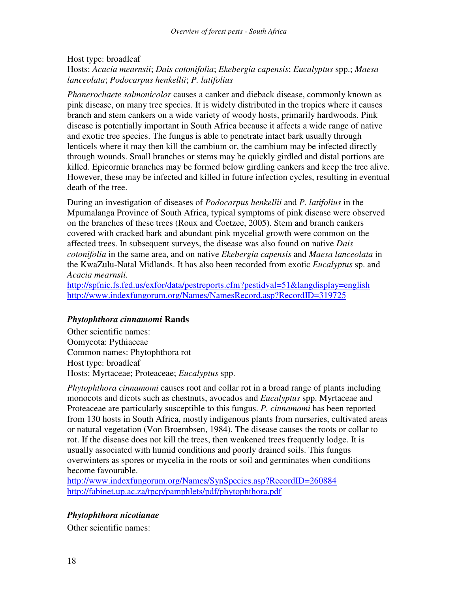#### Host type: broadleaf Hosts: *Acacia mearnsii*; *Dais cotonifolia*; *Ekebergia capensis*; *Eucalyptus* spp.; *Maesa lanceolata*; *Podocarpus henkellii*; *P. latifolius*

*Phanerochaete salmonicolor* causes a canker and dieback disease, commonly known as pink disease, on many tree species. It is widely distributed in the tropics where it causes branch and stem cankers on a wide variety of woody hosts, primarily hardwoods. Pink disease is potentially important in South Africa because it affects a wide range of native and exotic tree species. The fungus is able to penetrate intact bark usually through lenticels where it may then kill the cambium or, the cambium may be infected directly through wounds. Small branches or stems may be quickly girdled and distal portions are killed. Epicormic branches may be formed below girdling cankers and keep the tree alive. However, these may be infected and killed in future infection cycles, resulting in eventual death of the tree.

During an investigation of diseases of *Podocarpus henkellii* and *P. latifolius* in the Mpumalanga Province of South Africa, typical symptoms of pink disease were observed on the branches of these trees (Roux and Coetzee, 2005). Stem and branch cankers covered with cracked bark and abundant pink mycelial growth were common on the affected trees. In subsequent surveys, the disease was also found on native *Dais cotonifolia* in the same area, and on native *Ekebergia capensis* and *Maesa lanceolata* in the KwaZulu-Natal Midlands. It has also been recorded from exotic *Eucalyptus* sp. and *Acacia mearnsii.*

http://spfnic.fs.fed.us/exfor/data/pestreports.cfm?pestidval=51&langdisplay=english http://www.indexfungorum.org/Names/NamesRecord.asp?RecordID=319725

#### *Phytophthora cinnamomi* **Rands**

Other scientific names: Oomycota: Pythiaceae Common names: Phytophthora rot Host type: broadleaf Hosts: Myrtaceae; Proteaceae; *Eucalyptus* spp.

*Phytophthora cinnamomi* causes root and collar rot in a broad range of plants including monocots and dicots such as chestnuts, avocados and *Eucalyptus* spp. Myrtaceae and Proteaceae are particularly susceptible to this fungus. *P. cinnamomi* has been reported from 130 hosts in South Africa, mostly indigenous plants from nurseries, cultivated areas or natural vegetation (Von Broembsen, 1984). The disease causes the roots or collar to rot. If the disease does not kill the trees, then weakened trees frequently lodge. It is usually associated with humid conditions and poorly drained soils. This fungus overwinters as spores or mycelia in the roots or soil and germinates when conditions become favourable.

http://www.indexfungorum.org/Names/SynSpecies.asp?RecordID=260884 http://fabinet.up.ac.za/tpcp/pamphlets/pdf/phytophthora.pdf

#### *Phytophthora nicotianae*

Other scientific names: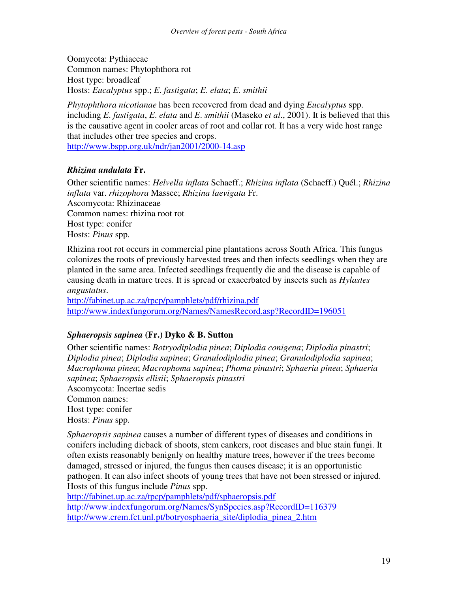Oomycota: Pythiaceae Common names: Phytophthora rot Host type: broadleaf Hosts: *Eucalyptus* spp.; *E*. *fastigata*; *E*. *elata*; *E*. *smithii*

*Phytophthora nicotianae* has been recovered from dead and dying *Eucalyptus* spp. including *E*. *fastigata*, *E*. *elata* and *E*. *smithii* (Maseko *et al*., 2001). It is believed that this is the causative agent in cooler areas of root and collar rot. It has a very wide host range that includes other tree species and crops.

http://www.bspp.org.uk/ndr/jan2001/2000-14.asp

### *Rhizina undulata* **Fr.**

Other scientific names: *Helvella inflata* Schaeff.; *Rhizina inflata* (Schaeff.) Quél.; *Rhizina inflata* var. *rhizophora* Massee; *Rhizina laevigata* Fr. Ascomycota: Rhizinaceae Common names: rhizina root rot Host type: conifer Hosts: *Pinus* spp.

Rhizina root rot occurs in commercial pine plantations across South Africa. This fungus colonizes the roots of previously harvested trees and then infects seedlings when they are planted in the same area. Infected seedlings frequently die and the disease is capable of causing death in mature trees. It is spread or exacerbated by insects such as *Hylastes angustatus*.

http://fabinet.up.ac.za/tpcp/pamphlets/pdf/rhizina.pdf http://www.indexfungorum.org/Names/NamesRecord.asp?RecordID=196051

### *Sphaeropsis sapinea* **(Fr.) Dyko & B. Sutton**

Other scientific names: *Botryodiplodia pinea*; *Diplodia conigena*; *Diplodia pinastri*; *Diplodia pinea*; *Diplodia sapinea*; *Granulodiplodia pinea*; *Granulodiplodia sapinea*; *Macrophoma pinea*; *Macrophoma sapinea*; *Phoma pinastri*; *Sphaeria pinea*; *Sphaeria sapinea*; *Sphaeropsis ellisii*; *Sphaeropsis pinastri*

Ascomycota: Incertae sedis

Common names:

Host type: conifer

Hosts: *Pinus* spp.

*Sphaeropsis sapinea* causes a number of different types of diseases and conditions in conifers including dieback of shoots, stem cankers, root diseases and blue stain fungi. It often exists reasonably benignly on healthy mature trees, however if the trees become damaged, stressed or injured, the fungus then causes disease; it is an opportunistic pathogen. It can also infect shoots of young trees that have not been stressed or injured. Hosts of this fungus include *Pinus* spp.

http://fabinet.up.ac.za/tpcp/pamphlets/pdf/sphaeropsis.pdf

http://www.indexfungorum.org/Names/SynSpecies.asp?RecordID=116379 http://www.crem.fct.unl.pt/botryosphaeria\_site/diplodia\_pinea\_2.htm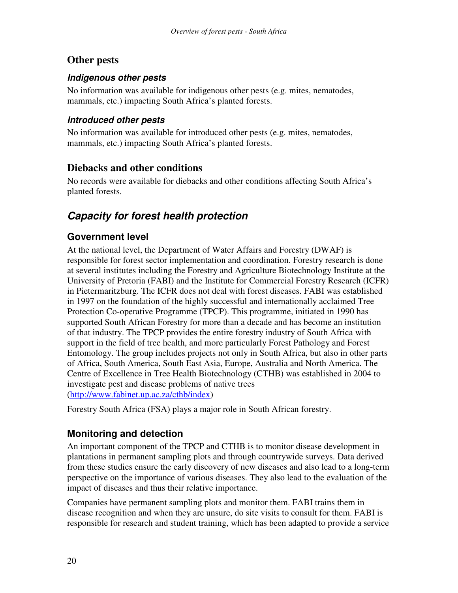# **Other pests**

### *Indigenous other pests*

No information was available for indigenous other pests (e.g. mites, nematodes, mammals, etc.) impacting South Africa's planted forests.

### *Introduced other pests*

No information was available for introduced other pests (e.g. mites, nematodes, mammals, etc.) impacting South Africa's planted forests.

# **Diebacks and other conditions**

No records were available for diebacks and other conditions affecting South Africa's planted forests.

# *Capacity for forest health protection*

# **Government level**

At the national level, the Department of Water Affairs and Forestry (DWAF) is responsible for forest sector implementation and coordination. Forestry research is done at several institutes including the Forestry and Agriculture Biotechnology Institute at the University of Pretoria (FABI) and the Institute for Commercial Forestry Research (ICFR) in Pietermaritzburg. The ICFR does not deal with forest diseases. FABI was established in 1997 on the foundation of the highly successful and internationally acclaimed Tree Protection Co-operative Programme (TPCP). This programme, initiated in 1990 has supported South African Forestry for more than a decade and has become an institution of that industry. The TPCP provides the entire forestry industry of South Africa with support in the field of tree health, and more particularly Forest Pathology and Forest Entomology. The group includes projects not only in South Africa, but also in other parts of Africa, South America, South East Asia, Europe, Australia and North America. The Centre of Excellence in Tree Health Biotechnology (CTHB) was established in 2004 to investigate pest and disease problems of native trees (http://www.fabinet.up.ac.za/cthb/index)

Forestry South Africa (FSA) plays a major role in South African forestry.

# **Monitoring and detection**

An important component of the TPCP and CTHB is to monitor disease development in plantations in permanent sampling plots and through countrywide surveys. Data derived from these studies ensure the early discovery of new diseases and also lead to a long-term perspective on the importance of various diseases. They also lead to the evaluation of the impact of diseases and thus their relative importance.

Companies have permanent sampling plots and monitor them. FABI trains them in disease recognition and when they are unsure, do site visits to consult for them. FABI is responsible for research and student training, which has been adapted to provide a service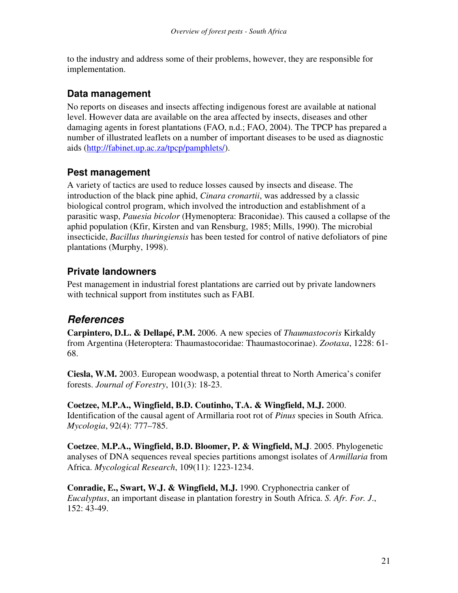to the industry and address some of their problems, however, they are responsible for implementation.

## **Data management**

No reports on diseases and insects affecting indigenous forest are available at national level. However data are available on the area affected by insects, diseases and other damaging agents in forest plantations (FAO, n.d.; FAO, 2004). The TPCP has prepared a number of illustrated leaflets on a number of important diseases to be used as diagnostic aids (http://fabinet.up.ac.za/tpcp/pamphlets/).

# **Pest management**

A variety of tactics are used to reduce losses caused by insects and disease. The introduction of the black pine aphid, *Cinara cronartii*, was addressed by a classic biological control program, which involved the introduction and establishment of a parasitic wasp, *Pauesia bicolor* (Hymenoptera: Braconidae). This caused a collapse of the aphid population (Kfir, Kirsten and van Rensburg, 1985; Mills, 1990). The microbial insecticide, *Bacillus thuringiensis* has been tested for control of native defoliators of pine plantations (Murphy, 1998).

# **Private landowners**

Pest management in industrial forest plantations are carried out by private landowners with technical support from institutes such as FABI.

# *References*

**Carpintero, D.L. & Dellapé, P.M.** 2006. A new species of *Thaumastocoris* Kirkaldy from Argentina (Heteroptera: Thaumastocoridae: Thaumastocorinae). *Zootaxa*, 1228: 61- 68.

**Ciesla, W.M.** 2003. European woodwasp, a potential threat to North America's conifer forests. *Journal of Forestry*, 101(3): 18-23.

**Coetzee, M.P.A., Wingfield, B.D. Coutinho, T.A. & Wingfield, M.J.** 2000. Identification of the causal agent of Armillaria root rot of *Pinus* species in South Africa. *Mycologia*, 92(4): 777–785.

**Coetzee**, **M.P.A., Wingfield, B.D. Bloomer, P. & Wingfield, M.J**. 2005. Phylogenetic analyses of DNA sequences reveal species partitions amongst isolates of *Armillaria* from Africa. *Mycological Research*, 109(11): 1223-1234.

**Conradie, E., Swart, W.J. & Wingfield, M.J.** 1990. Cryphonectria canker of *Eucalyptus*, an important disease in plantation forestry in South Africa. *S. Afr. For. J*., 152: 43-49.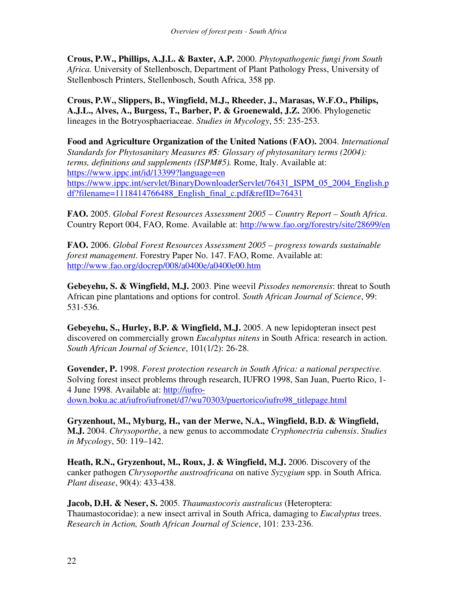**Crous, P.W., Phillips, A.J.L. & Baxter, A.P.** 2000. *Phytopathogenic fungi from South Africa.* University of Stellenbosch, Department of Plant Pathology Press, University of Stellenbosch Printers, Stellenbosch, South Africa, 358 pp.

**Crous, P.W., Slippers, B., Wingfield, M.J., Rheeder, J., Marasas, W.F.O., Philips, A.J.L., Alves, A., Burgess, T., Barber, P. & Groenewald, J.Z.** 2006. Phylogenetic lineages in the Botryosphaeriaceae. *Studies in Mycology*, 55: 235-253.

**Food and Agriculture Organization of the United Nations (FAO).** 2004. *International Standards for Phytosanitary Measures #5: Glossary of phytosanitary terms (2004): terms, definitions and supplements (ISPM#5).* Rome, Italy. Available at: https://www.ippc.int/id/13399?language=en https://www.ippc.int/servlet/BinaryDownloaderServlet/76431\_ISPM\_05\_2004\_English.p df?filename=1118414766488\_English\_final\_c.pdf&refID=76431

**FAO.** 2005. *Global Forest Resources Assessment 2005 – Country Report – South Africa*. Country Report 004, FAO, Rome. Available at: http://www.fao.org/forestry/site/28699/en

**FAO.** 2006. *Global Forest Resources Assessment 2005 – progress towards sustainable forest management*. Forestry Paper No. 147. FAO, Rome. Available at: http://www.fao.org/docrep/008/a0400e/a0400e00.htm

**Gebeyehu, S. & Wingfield, M.J.** 2003. Pine weevil *Pissodes nemorensis*: threat to South African pine plantations and options for control. *South African Journal of Science*, 99: 531-536.

**Gebeyehu, S., Hurley, B.P. & Wingfield, M.J.** 2005. A new lepidopteran insect pest discovered on commercially grown *Eucalyptus nitens* in South Africa: research in action. *South African Journal of Science*, 101(1/2): 26-28.

**Govender, P.** 1998. *Forest protection research in South Africa: a national perspective.* Solving forest insect problems through research, IUFRO 1998, San Juan, Puerto Rico, 1- 4 June 1998. Available at: http://iufrodown.boku.ac.at/iufro/iufronet/d7/wu70303/puertorico/iufro98\_titlepage.html

**Gryzenhout, M., Myburg, H., van der Merwe, N.A., Wingfield, B.D. & Wingfield, M.J.** 2004. *Chrysoporthe*, a new genus to accommodate *Cryphonectria cubensis*. *Studies in Mycology*, 50: 119–142.

**Heath, R.N., Gryzenhout, M., Roux, J. & Wingfield, M.J.** 2006. Discovery of the canker pathogen *Chrysoporthe austroafricana* on native *Syzygium* spp. in South Africa. *Plant disease*, 90(4): 433-438.

**Jacob, D.H. & Neser, S.** 2005. *Thaumastocoris australicus* (Heteroptera: Thaumastocoridae): a new insect arrival in South Africa, damaging to *Eucalyptus* trees. *Research in Action, South African Journal of Science*, 101: 233-236.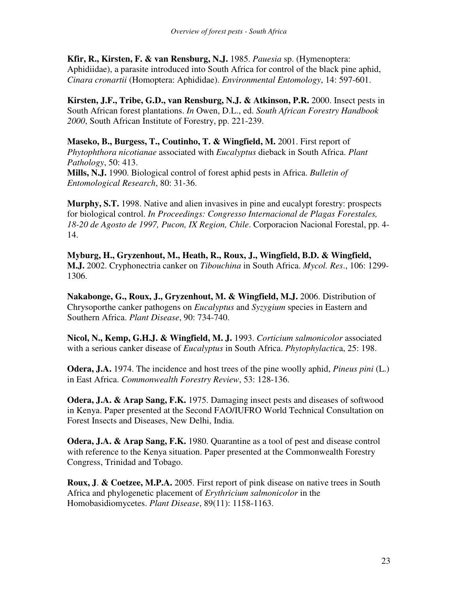**Kfir, R., Kirsten, F. & van Rensburg, N.J.** 1985. *Pauesia* sp. (Hymenoptera: Aphidiidae), a parasite introduced into South Africa for control of the black pine aphid, *Cinara cronartii* (Homoptera: Aphididae). *Environmental Entomology*, 14: 597-601.

**Kirsten, J.F., Tribe, G.D., van Rensburg, N.J. & Atkinson, P.R.** 2000. Insect pests in South African forest plantations. *In* Owen, D.L., ed. *South African Forestry Handbook 2000*, South African Institute of Forestry, pp. 221-239.

**Maseko, B., Burgess, T., Coutinho, T. & Wingfield, M.** 2001. First report of *Phytophthora nicotianae* associated with *Eucalyptus* dieback in South Africa. *Plant Pathology*, 50: 413.

**Mills, N.J.** 1990. Biological control of forest aphid pests in Africa. *Bulletin of Entomological Research*, 80: 31-36.

**Murphy, S.T.** 1998. Native and alien invasives in pine and eucalypt forestry: prospects for biological control. *In Proceedings: Congresso Internacional de Plagas Forestales, 18-20 de Agosto de 1997, Pucon, IX Region, Chile*. Corporacion Nacional Forestal, pp. 4- 14.

**Myburg, H., Gryzenhout, M., Heath, R., Roux, J., Wingfield, B.D. & Wingfield, M.J.** 2002. Cryphonectria canker on *Tibouchina* in South Africa. *Mycol. Res*., 106: 1299- 1306.

**Nakabonge, G., Roux, J., Gryzenhout, M. & Wingfield, M.J.** 2006. Distribution of Chrysoporthe canker pathogens on *Eucalyptus* and *Syzygium* species in Eastern and Southern Africa. *Plant Disease*, 90: 734-740.

**Nicol, N., Kemp, G.H.J. & Wingfield, M. J.** 1993. *Corticium salmonicolor* associated with a serious canker disease of *Eucalyptus* in South Africa. *Phytophylactic*a, 25: 198.

**Odera, J.A.** 1974. The incidence and host trees of the pine woolly aphid, *Pineus pini* (L.) in East Africa. *Commonwealth Forestry Review*, 53: 128-136.

**Odera, J.A. & Arap Sang, F.K.** 1975. Damaging insect pests and diseases of softwood in Kenya. Paper presented at the Second FAO/IUFRO World Technical Consultation on Forest Insects and Diseases, New Delhi, India.

**Odera, J.A. & Arap Sang, F.K.** 1980. Quarantine as a tool of pest and disease control with reference to the Kenya situation. Paper presented at the Commonwealth Forestry Congress, Trinidad and Tobago.

**Roux, J**. **& Coetzee, M.P.A.** 2005. First report of pink disease on native trees in South Africa and phylogenetic placement of *Erythricium salmonicolor* in the Homobasidiomycetes. *Plant Disease*, 89(11): 1158-1163.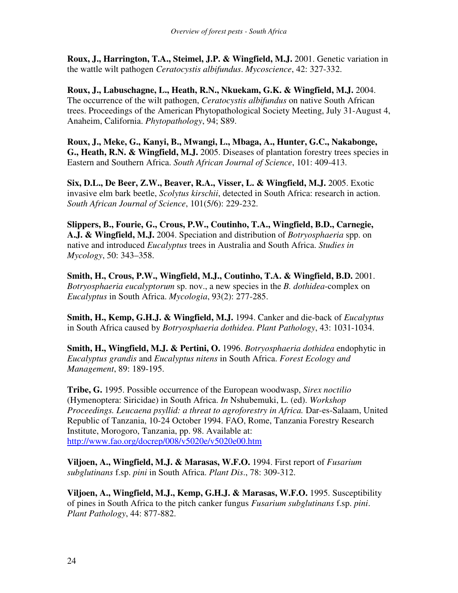**Roux, J., Harrington, T.A., Steimel, J.P. & Wingfield, M.J.** 2001. Genetic variation in the wattle wilt pathogen *Ceratocystis albifundus*. *Mycoscience*, 42: 327-332.

**Roux, J., Labuschagne, L., Heath, R.N., Nkuekam, G.K. & Wingfield, M.J.** 2004. The occurrence of the wilt pathogen, *Ceratocystis albifundus* on native South African trees. Proceedings of the American Phytopathological Society Meeting, July 31-August 4, Anaheim, California. *Phytopathology*, 94; S89.

**Roux, J., Meke, G., Kanyi, B., Mwangi, L., Mbaga, A., Hunter, G.C., Nakabonge, G., Heath, R.N. & Wingfield, M.J.** 2005. Diseases of plantation forestry trees species in Eastern and Southern Africa. *South African Journal of Science*, 101: 409-413.

**Six, D.L., De Beer, Z.W., Beaver, R.A., Visser, L. & Wingfield, M.J.** 2005. Exotic invasive elm bark beetle, *Scolytus kirschii*, detected in South Africa: research in action. *South African Journal of Science*, 101(5/6): 229-232.

**Slippers, B., Fourie, G., Crous, P.W., Coutinho, T.A., Wingfield, B.D., Carnegie, A.J. & Wingfield, M.J.** 2004. Speciation and distribution of *Botryosphaeria* spp. on native and introduced *Eucalyptus* trees in Australia and South Africa. *Studies in Mycology*, 50: 343–358.

**Smith, H., Crous, P.W., Wingfield, M.J., Coutinho, T.A. & Wingfield, B.D.** 2001. *Botryosphaeria eucalyptorum* sp. nov., a new species in the *B. dothidea*-complex on *Eucalyptus* in South Africa. *Mycologia*, 93(2): 277-285.

**Smith, H., Kemp, G.H.J. & Wingfield, M.J.** 1994. Canker and die-back of *Eucalyptus* in South Africa caused by *Botryosphaeria dothidea*. *Plant Pathology*, 43: 1031-1034.

**Smith, H., Wingfield, M.J. & Pertini, O.** 1996. *Botryosphaeria dothidea* endophytic in *Eucalyptus grandis* and *Eucalyptus nitens* in South Africa. *Forest Ecology and Management*, 89: 189-195.

**Tribe, G.** 1995. Possible occurrence of the European woodwasp, *Sirex noctilio* (Hymenoptera: Siricidae) in South Africa. *In* Nshubemuki, L. (ed). *Workshop Proceedings. Leucaena psyllid: a threat to agroforestry in Africa.* Dar-es-Salaam, United Republic of Tanzania, 10-24 October 1994. FAO, Rome, Tanzania Forestry Research Institute, Morogoro, Tanzania, pp. 98. Available at: http://www.fao.org/docrep/008/v5020e/v5020e00.htm

**Viljoen, A., Wingfield, M.J. & Marasas, W.F.O.** 1994. First report of *Fusarium subglutinans* f.sp. *pini* in South Africa. *Plant Dis*., 78: 309-312.

**Viljoen, A., Wingfield, M.J., Kemp, G.H.J. & Marasas, W.F.O.** 1995. Susceptibility of pines in South Africa to the pitch canker fungus *Fusarium subglutinans* f.sp. *pini*. *Plant Pathology*, 44: 877-882.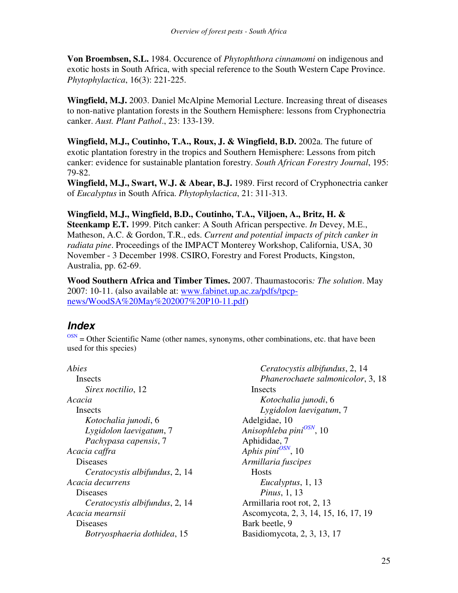**Von Broembsen, S.L.** 1984. Occurence of *Phytophthora cinnamomi* on indigenous and exotic hosts in South Africa, with special reference to the South Western Cape Province. *Phytophylactica*, 16(3): 221-225.

**Wingfield, M.J.** 2003. Daniel McAlpine Memorial Lecture. Increasing threat of diseases to non-native plantation forests in the Southern Hemisphere: lessons from Cryphonectria canker. *Aust. Plant Pathol*., 23: 133-139.

**Wingfield, M.J., Coutinho, T.A., Roux, J. & Wingfield, B.D.** 2002a. The future of exotic plantation forestry in the tropics and Southern Hemisphere: Lessons from pitch canker: evidence for sustainable plantation forestry. *South African Forestry Journal*, 195: 79-82.

**Wingfield, M.J., Swart, W.J. & Abear, B.J.** 1989. First record of Cryphonectria canker of *Eucalyptus* in South Africa. *Phytophylactica*, 21: 311-313.

**Wingfield, M.J., Wingfield, B.D., Coutinho, T.A., Viljoen, A., Britz, H. & Steenkamp E.T.** 1999. Pitch canker: A South African perspective. *In* Devey, M.E., Matheson, A.C. & Gordon, T.R., eds. *Current and potential impacts of pitch canker in radiata pine*. Proceedings of the IMPACT Monterey Workshop, California, USA, 30 November - 3 December 1998. CSIRO, Forestry and Forest Products, Kingston, Australia, pp. 62-69.

**Wood Southern Africa and Timber Times.** 2007. Thaumastocoris*: The solution*. May 2007: 10-11. (also available at: www.fabinet.up.ac.za/pdfs/tpcpnews/WoodSA%20May%202007%20P10-11.pdf)

# *Index*

 $\frac{OSN}{OSN}$  = Other Scientific Name (other names, synonyms, other combinations, etc. that have been used for this species)

*Abies* Insects *Sirex noctilio*, 12 *Acacia* **Insects** *Kotochalia junodi*, 6 *Lygidolon laevigatum*, 7 *Pachypasa capensis*, 7 *Acacia caffra* Diseases *Ceratocystis albifundus*, 2, 14 *Acacia decurrens* Diseases *Ceratocystis albifundus*, 2, 14 *Acacia mearnsii* Diseases *Botryosphaeria dothidea*, 15

*Ceratocystis albifundus*, 2, 14 *Phanerochaete salmonicolor*, 3, 18 **Insects** *Kotochalia junodi*, 6 *Lygidolon laevigatum*, 7 Adelgidae, 10 *Anisophleba pini OSN* , 10 Aphididae, 7 *Aphis pini OSN* , 10 *Armillaria fuscipes* **Hosts** *Eucalyptus*, 1, 13 *Pinus*, 1, 13 Armillaria root rot, 2, 13 Ascomycota, 2, 3, 14, 15, 16, 17, 19 Bark beetle, 9 Basidiomycota, 2, 3, 13, 17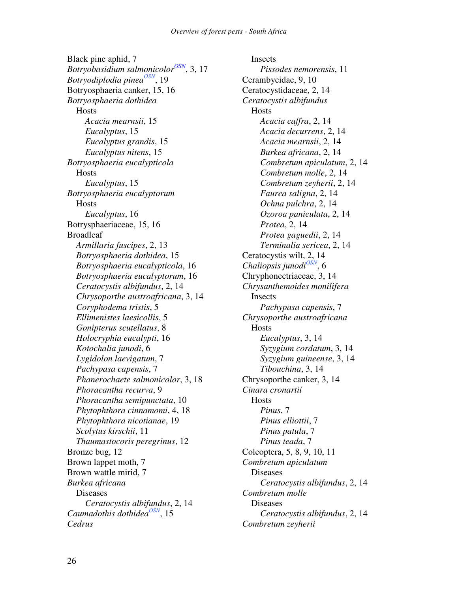Black pine aphid, 7 *Botryobasidium salmonicolor OSN* , 3, 17 *Botryodiplodia pinea OSN* , 19 Botryosphaeria canker, 15, 16 *Botryosphaeria dothidea* **Hosts** *Acacia mearnsii*, 15 *Eucalyptus*, 15 *Eucalyptus grandis*, 15 *Eucalyptus nitens*, 15 *Botryosphaeria eucalypticola* Hosts *Eucalyptus*, 15 *Botryosphaeria eucalyptorum* **Hosts** *Eucalyptus*, 16 Botrysphaeriaceae, 15, 16 Broadleaf *Armillaria fuscipes*, 2, 13 *Botryosphaeria dothidea*, 15 *Botryosphaeria eucalypticola*, 16 *Botryosphaeria eucalyptorum*, 16 *Ceratocystis albifundus*, 2, 14 *Chrysoporthe austroafricana*, 3, 14 *Coryphodema tristis*, 5 *Ellimenistes laesicollis*, 5 *Gonipterus scutellatus*, 8 *Holocryphia eucalypti*, 16 *Kotochalia junodi*, 6 *Lygidolon laevigatum*, 7 *Pachypasa capensis*, 7 *Phanerochaete salmonicolor*, 3, 18 *Phoracantha recurva*, 9 *Phoracantha semipunctata*, 10 *Phytophthora cinnamomi*, 4, 18 *Phytophthora nicotianae*, 19 *Scolytus kirschii*, 11 *Thaumastocoris peregrinus*, 12 Bronze bug, 12 Brown lappet moth, 7 Brown wattle mirid, 7 *Burkea africana* Diseases *Ceratocystis albifundus*, 2, 14 Caumadothis dothidea<sup>OSN</sup>, 15 *Cedrus*

Insects *Pissodes nemorensis*, 11 Cerambycidae, 9, 10 Ceratocystidaceae, 2, 14 *Ceratocystis albifundus* **Hosts** *Acacia caffra*, 2, 14 *Acacia decurrens*, 2, 14 *Acacia mearnsii*, 2, 14 *Burkea africana*, 2, 14 *Combretum apiculatum*, 2, 14 *Combretum molle*, 2, 14 *Combretum zeyherii*, 2, 14 *Faurea saligna*, 2, 14 *Ochna pulchra*, 2, 14 *Ozoroa paniculata*, 2, 14 *Protea*, 2, 14 *Protea gaguedii*, 2, 14 *Terminalia sericea*, 2, 14 Ceratocystis wilt, 2, 14 Chaliopsis junodi<sup>OSN</sup>, 6 Chryphonectriaceae, 3, 14 *Chrysanthemoides monilifera* Insects *Pachypasa capensis*, 7 *Chrysoporthe austroafricana* Hosts *Eucalyptus*, 3, 14 *Syzygium cordatum*, 3, 14 *Syzygium guineense*, 3, 14 *Tibouchina*, 3, 14 Chrysoporthe canker, 3, 14 *Cinara cronartii* Hosts *Pinus*, 7 *Pinus elliottii*, 7 *Pinus patula*, 7 *Pinus teada*, 7 Coleoptera, 5, 8, 9, 10, 11 *Combretum apiculatum* Diseases *Ceratocystis albifundus*, 2, 14 *Combretum molle* Diseases *Ceratocystis albifundus*, 2, 14 *Combretum zeyherii*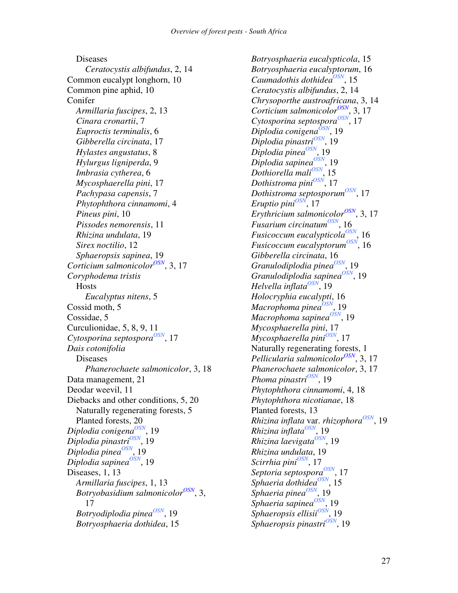Diseases *Ceratocystis albifundus*, 2, 14 Common eucalypt longhorn, 10 Common pine aphid, 10 Conifer *Armillaria fuscipes*, 2, 13 *Cinara cronartii*, 7 *Euproctis terminalis*, 6 *Gibberella circinata*, 17 *Hylastes angustatus*, 8 *Hylurgus ligniperda*, 9 *Imbrasia cytherea*, 6 *Mycosphaerella pini*, 17 *Pachypasa capensis*, 7 *Phytophthora cinnamomi*, 4 *Pineus pini*, 10 *Pissodes nemorensis*, 11 *Rhizina undulata*, 19 *Sirex noctilio*, 12 *Sphaeropsis sapinea*, 19 Corticium salmonicolor<sup>OSN</sup>, 3, 17 *Coryphodema tristis* Hosts *Eucalyptus nitens*, 5 Cossid moth, 5 Cossidae, 5 Curculionidae, 5, 8, 9, 11 Cytosporina septospora<sup>OSN</sup>, 17 *Dais cotonifolia* Diseases *Phanerochaete salmonicolor*, 3, 18 Data management, 21 Deodar weevil, 11 Diebacks and other conditions, 5, 20 Naturally regenerating forests, 5 Planted forests, 20 *Diplodia conigena OSN* , 19 *Diplodia pinastri OSN* , 19 *Diplodia pinea OSN* , 19 *Diplodia sapinea OSN* , 19 Diseases, 1, 13 *Armillaria fuscipes*, 1, 13 *Botryobasidium salmonicolor OSN* , 3, 17 *Botryodiplodia pinea OSN* , 19 *Botryosphaeria dothidea*, 15

*Botryosphaeria eucalypticola*, 15 *Botryosphaeria eucalyptorum*, 16 Caumadothis dothidea<sup>OSN</sup>, 15 *Ceratocystis albifundus*, 2, 14 *Chrysoporthe austroafricana*, 3, 14 Corticium salmonicolor<sup>OSN</sup>, 3, 17 Cytosporina septospora<sup>OSN</sup>, 17 *Diplodia conigena OSN* , 19 *Diplodia pinastri OSN* , 19 *Diplodia pinea OSN* , 19 *Diplodia sapinea OSN* , 19 *Dothiorella* mali<sup>OSN</sup>, 15 *Dothistroma pini OSN* , 17 *Dothistroma septosporum OSN* , 17 *Eruptio pini OSN* , 17 *Erythricium salmonicolor OSN* , 3, 17 *Fusarium circinatum OSN* , 16 *Fusicoccum eucalypticola<sup>OSN</sup>*, 16 *Fusicoccum eucalyptorum OSN* , 16 *Gibberella circinata*, 16 *Granulodiplodia pinea<sup>OSN</sup>,* 19 *Granulodiplodia sapinea*<sup>OSN</sup>, 19 *Helvella inflata OSN* , 19 *Holocryphia eucalypti*, 16 *Macrophoma pinea OSN* , 19 *Macrophoma sapinea<sup>OSN</sup>*, 19 *Mycosphaerella pini*, 17 *Mycosphaerella pini<sup>OSN</sup>,* 17 Naturally regenerating forests, 1 *Pellicularia salmonicolor OSN* , 3, 17 *Phanerochaete salmonicolor*, 3, 17 *Phoma pinastri OSN* , 19 *Phytophthora cinnamomi*, 4, 18 *Phytophthora nicotianae*, 18 Planted forests, 13 *Rhizina inflata* var. *rhizophora OSN* , 19 *Rhizina inflata OSN* , 19 *Rhizina laevigata OSN* , 19 *Rhizina undulata*, 19 *Scirrhia pini OSN* , 17 *Septoria septospora<sup>OSN</sup>,* 17 *Sphaeria dothidea<sup>OSN</sup>*, 15  $S$ phaeria pinea $^{OSN}$ , 19 *Sphaeria sapinea OSN* , 19 *Sphaeropsis ellisii<sup>OSN</sup>,* 19 *Sphaeropsis pinastri OSN* , 19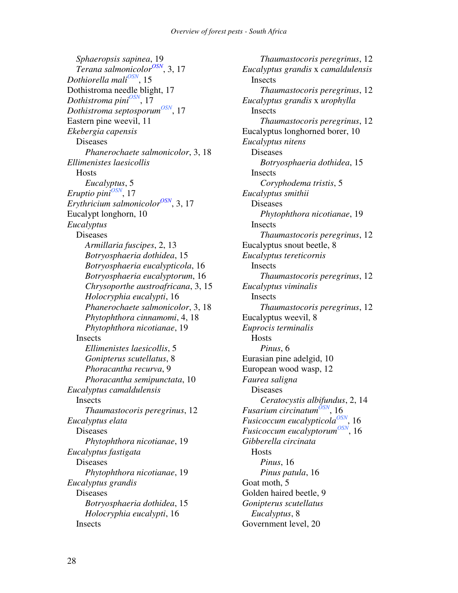*Sphaeropsis sapinea*, 19 *Terana salmonicolor OSN* , 3, 17 *Dothiorella mali OSN* , 15 Dothistroma needle blight, 17 *Dothistroma pini OSN* , 17 *Dothistroma septosporum OSN* , 17 Eastern pine weevil, 11 *Ekebergia capensis* Diseases *Phanerochaete salmonicolor*, 3, 18 *Ellimenistes laesicollis* **Hosts** *Eucalyptus*, 5 *Eruptio pini*<sup>OSN</sup>, 17 *Erythricium salmonicolor OSN* , 3, 17 Eucalypt longhorn, 10 *Eucalyptus* Diseases *Armillaria fuscipes*, 2, 13 *Botryosphaeria dothidea*, 15 *Botryosphaeria eucalypticola*, 16 *Botryosphaeria eucalyptorum*, 16 *Chrysoporthe austroafricana*, 3, 15 *Holocryphia eucalypti*, 16 *Phanerochaete salmonicolor*, 3, 18 *Phytophthora cinnamomi*, 4, 18 *Phytophthora nicotianae*, 19 Insects *Ellimenistes laesicollis*, 5 *Gonipterus scutellatus*, 8 *Phoracantha recurva*, 9 *Phoracantha semipunctata*, 10 *Eucalyptus camaldulensis* Insects *Thaumastocoris peregrinus*, 12 *Eucalyptus elata* Diseases *Phytophthora nicotianae*, 19 *Eucalyptus fastigata* Diseases *Phytophthora nicotianae*, 19 *Eucalyptus grandis* Diseases *Botryosphaeria dothidea*, 15 *Holocryphia eucalypti*, 16 **Insects** 

*Thaumastocoris peregrinus*, 12 *Eucalyptus grandis* x *camaldulensis* Insects *Thaumastocoris peregrinus*, 12 *Eucalyptus grandis* x *urophylla* Insects *Thaumastocoris peregrinus*, 12 Eucalyptus longhorned borer, 10 *Eucalyptus nitens* Diseases *Botryosphaeria dothidea*, 15 Insects *Coryphodema tristis*, 5 *Eucalyptus smithii* Diseases *Phytophthora nicotianae*, 19 Insects *Thaumastocoris peregrinus*, 12 Eucalyptus snout beetle, 8 *Eucalyptus tereticornis* Insects *Thaumastocoris peregrinus*, 12 *Eucalyptus viminalis* Insects *Thaumastocoris peregrinus*, 12 Eucalyptus weevil, 8 *Euprocis terminalis* **Hosts** *Pinus*, 6 Eurasian pine adelgid, 10 European wood wasp, 12 *Faurea saligna* Diseases *Ceratocystis albifundus*, 2, 14 *Fusarium circinatum<sup>ÕSN</sup>,* 16 *Fusicoccum eucalypticola<sup>OSN</sup>*, 16 *Fusicoccum eucalyptorum OSN* , 16 *Gibberella circinata* Hosts *Pinus*, 16 *Pinus patula*, 16 Goat moth, 5 Golden haired beetle, 9 *Gonipterus scutellatus Eucalyptus*, 8 Government level, 20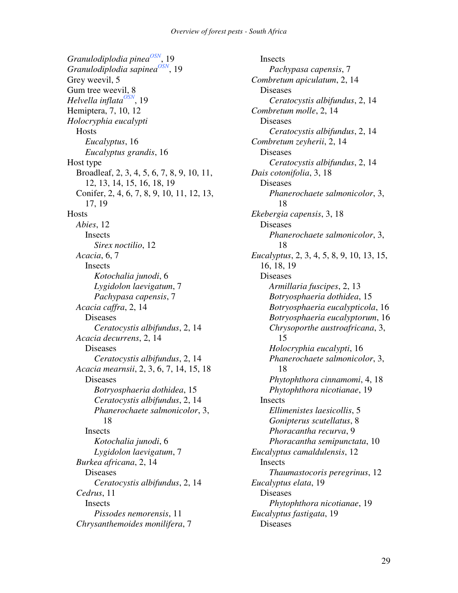*Granulodiplodia pinea<sup>OSN</sup>,* 19 *Granulodiplodia sapinea*<sup>OSN</sup>, 19 Grey weevil, 5 Gum tree weevil, 8 *Helvella inflata OSN* , 19 Hemiptera, 7, 10, 12 *Holocryphia eucalypti* **Hosts** *Eucalyptus*, 16 *Eucalyptus grandis*, 16 Host type Broadleaf, 2, 3, 4, 5, 6, 7, 8, 9, 10, 11, 12, 13, 14, 15, 16, 18, 19 Conifer, 2, 4, 6, 7, 8, 9, 10, 11, 12, 13, 17, 19 **Hosts** *Abies*, 12 Insects *Sirex noctilio*, 12 *Acacia*, 6, 7 **Insects** *Kotochalia junodi*, 6 *Lygidolon laevigatum*, 7 *Pachypasa capensis*, 7 *Acacia caffra*, 2, 14 Diseases *Ceratocystis albifundus*, 2, 14 *Acacia decurrens*, 2, 14 Diseases *Ceratocystis albifundus*, 2, 14 *Acacia mearnsii*, 2, 3, 6, 7, 14, 15, 18 Diseases *Botryosphaeria dothidea*, 15 *Ceratocystis albifundus*, 2, 14 *Phanerochaete salmonicolor*, 3, 18 Insects *Kotochalia junodi*, 6 *Lygidolon laevigatum*, 7 *Burkea africana*, 2, 14 Diseases *Ceratocystis albifundus*, 2, 14 *Cedrus*, 11 **Insects** *Pissodes nemorensis*, 11 *Chrysanthemoides monilifera*, 7

Insects *Pachypasa capensis*, 7 *Combretum apiculatum*, 2, 14 Diseases *Ceratocystis albifundus*, 2, 14 *Combretum molle*, 2, 14 Diseases *Ceratocystis albifundus*, 2, 14 *Combretum zeyherii*, 2, 14 Diseases *Ceratocystis albifundus*, 2, 14 *Dais cotonifolia*, 3, 18 Diseases *Phanerochaete salmonicolor*, 3, 18 *Ekebergia capensis*, 3, 18 Diseases *Phanerochaete salmonicolor*, 3, 18 *Eucalyptus*, 2, 3, 4, 5, 8, 9, 10, 13, 15, 16, 18, 19 Diseases *Armillaria fuscipes*, 2, 13 *Botryosphaeria dothidea*, 15 *Botryosphaeria eucalypticola*, 16 *Botryosphaeria eucalyptorum*, 16 *Chrysoporthe austroafricana*, 3, 15 *Holocryphia eucalypti*, 16 *Phanerochaete salmonicolor*, 3, 18 *Phytophthora cinnamomi*, 4, 18 *Phytophthora nicotianae*, 19 Insects *Ellimenistes laesicollis*, 5 *Gonipterus scutellatus*, 8 *Phoracantha recurva*, 9 *Phoracantha semipunctata*, 10 *Eucalyptus camaldulensis*, 12 Insects *Thaumastocoris peregrinus*, 12 *Eucalyptus elata*, 19 Diseases *Phytophthora nicotianae*, 19 *Eucalyptus fastigata*, 19 Diseases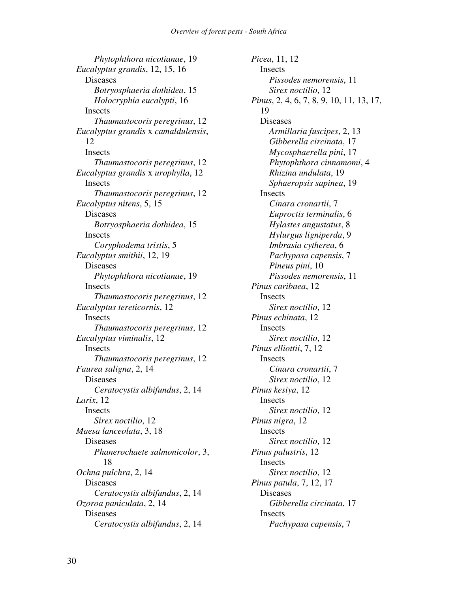*Phytophthora nicotianae*, 19 *Eucalyptus grandis*, 12, 15, 16 Diseases *Botryosphaeria dothidea*, 15 *Holocryphia eucalypti*, 16 **Insects** *Thaumastocoris peregrinus*, 12 *Eucalyptus grandis* x *camaldulensis*, 12 Insects *Thaumastocoris peregrinus*, 12 *Eucalyptus grandis* x *urophylla*, 12 Insects *Thaumastocoris peregrinus*, 12 *Eucalyptus nitens*, 5, 15 Diseases *Botryosphaeria dothidea*, 15 Insects *Coryphodema tristis*, 5 *Eucalyptus smithii*, 12, 19 Diseases *Phytophthora nicotianae*, 19 Insects *Thaumastocoris peregrinus*, 12 *Eucalyptus tereticornis*, 12 **Insects** *Thaumastocoris peregrinus*, 12 *Eucalyptus viminalis*, 12 Insects *Thaumastocoris peregrinus*, 12 *Faurea saligna*, 2, 14 Diseases *Ceratocystis albifundus*, 2, 14 *Larix*, 12 Insects *Sirex noctilio*, 12 *Maesa lanceolata*, 3, 18 Diseases *Phanerochaete salmonicolor*, 3, 18 *Ochna pulchra*, 2, 14 Diseases *Ceratocystis albifundus*, 2, 14 *Ozoroa paniculata*, 2, 14 Diseases *Ceratocystis albifundus*, 2, 14

*Picea*, 11, 12 **Insects** *Pissodes nemorensis*, 11 *Sirex noctilio*, 12 *Pinus*, 2, 4, 6, 7, 8, 9, 10, 11, 13, 17, 19 Diseases *Armillaria fuscipes*, 2, 13 *Gibberella circinata*, 17 *Mycosphaerella pini*, 17 *Phytophthora cinnamomi*, 4 *Rhizina undulata*, 19 *Sphaeropsis sapinea*, 19 Insects *Cinara cronartii*, 7 *Euproctis terminalis*, 6 *Hylastes angustatus*, 8 *Hylurgus ligniperda*, 9 *Imbrasia cytherea*, 6 *Pachypasa capensis*, 7 *Pineus pini*, 10 *Pissodes nemorensis*, 11 *Pinus caribaea*, 12 Insects *Sirex noctilio*, 12 *Pinus echinata*, 12 **Insects** *Sirex noctilio*, 12 *Pinus elliottii*, 7, 12 Insects *Cinara cronartii*, 7 *Sirex noctilio*, 12 *Pinus kesiya*, 12 Insects *Sirex noctilio*, 12 *Pinus nigra*, 12 Insects *Sirex noctilio*, 12 *Pinus palustris*, 12 Insects *Sirex noctilio*, 12 *Pinus patula*, 7, 12, 17 Diseases *Gibberella circinata*, 17 Insects *Pachypasa capensis*, 7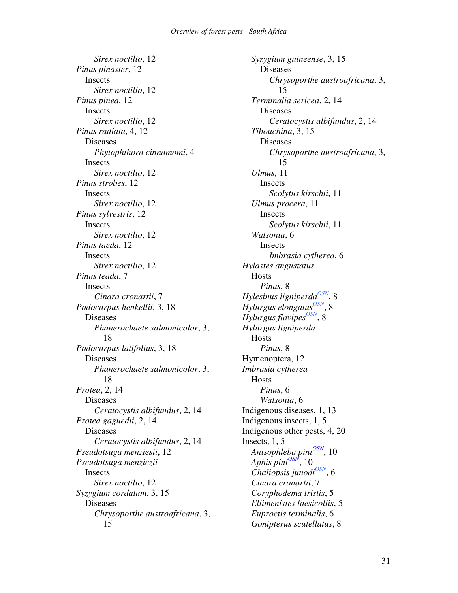*Sirex noctilio*, 12 *Pinus pinaster*, 12 Insects *Sirex noctilio*, 12 *Pinus pinea*, 12 **Insects** *Sirex noctilio*, 12 *Pinus radiata*, 4, 12 Diseases *Phytophthora cinnamomi*, 4 **Insects** *Sirex noctilio*, 12 *Pinus strobes*, 12 Insects *Sirex noctilio*, 12 *Pinus sylvestris*, 12 Insects *Sirex noctilio*, 12 *Pinus taeda*, 12 **Insects** *Sirex noctilio*, 12 *Pinus teada*, 7 Insects *Cinara cronartii*, 7 *Podocarpus henkellii*, 3, 18 Diseases *Phanerochaete salmonicolor*, 3, 18 *Podocarpus latifolius*, 3, 18 Diseases *Phanerochaete salmonicolor*, 3, 18 *Protea*, 2, 14 Diseases *Ceratocystis albifundus*, 2, 14 *Protea gaguedii*, 2, 14 Diseases *Ceratocystis albifundus*, 2, 14 *Pseudotsuga menziesii*, 12 *Pseudotsuga menziezii* **Insects** *Sirex noctilio*, 12 *Syzygium cordatum*, 3, 15 Diseases *Chrysoporthe austroafricana*, 3, 15

*Syzygium guineense*, 3, 15 Diseases *Chrysoporthe austroafricana*, 3, 15 *Terminalia sericea*, 2, 14 Diseases *Ceratocystis albifundus*, 2, 14 *Tibouchina*, 3, 15 Diseases *Chrysoporthe austroafricana*, 3, 15 *Ulmus*, 11 Insects *Scolytus kirschii*, 11 *Ulmus procera*, 11 Insects *Scolytus kirschii*, 11 *Watsonia*, 6 Insects *Imbrasia cytherea*, 6 *Hylastes angustatus* Hosts *Pinus*, 8 *Hylesinus ligniperda OSN* , 8 *Hylurgus elongatus*<sup>OSN</sup>, 8 *Hylurgus flavipes*<sup>OSN</sup>, 8 *Hylurgus ligniperda* Hosts *Pinus*, 8 Hymenoptera, 12 *Imbrasia cytherea* Hosts *Pinus*, 6 *Watsonia*, 6 Indigenous diseases, 1, 13 Indigenous insects, 1, 5 Indigenous other pests, 4, 20 Insects, 1, 5 *Anisophleba pini OSN* , 10 *Aphis pini OSN* , 10  $Chaliopsis junodi<sup>OSN</sup>$ , 6 *Cinara cronartii*, 7 *Coryphodema tristis*, 5 *Ellimenistes laesicollis*, 5 *Euproctis terminalis*, 6 *Gonipterus scutellatus*, 8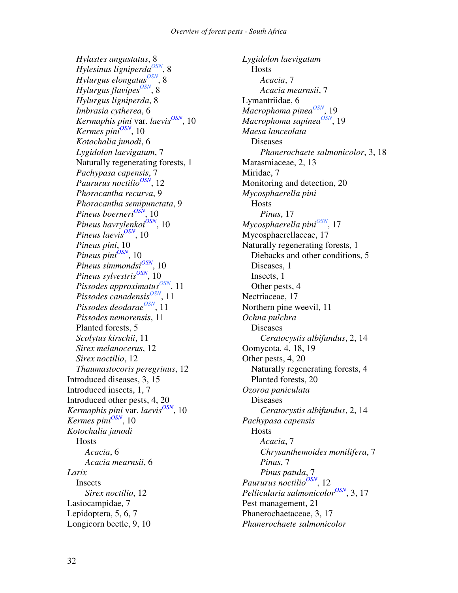*Hylastes angustatus*, 8 *Hylesinus ligniperda OSN* , 8 *Hylurgus elongatus*<sup>OSN</sup>, 8 *Hylurgus flavipes*<sup>OSN</sup>, 8 *Hylurgus ligniperda*, 8 *Imbrasia cytherea*, 6 *Kermaphis pini* var. *laevis OSN* , 10 *Kermes pini OSN* , 10 *Kotochalia junodi*, 6 *Lygidolon laevigatum*, 7 Naturally regenerating forests, 1 *Pachypasa capensis*, 7 *Paururus* noctilio<sup>OSN</sup>, 12 *Phoracantha recurva*, 9 *Phoracantha semipunctata*, 9 *Pineus boerneri OSN* , 10 *Pineus havrylenkoi OSN* , 10 *Pineus laevis OSN* , 10 *Pineus pini*, 10 *Pineus pini OSN* , 10 *Pineus simmondsi OSN* , 10 *Pineus sylvestris OSN* , 10 *Pissodes approximatus OSN* , 11 *Pissodes canadensis*<sup>OSN</sup>, 11 *Pissodes deodarae OSN* , 11 *Pissodes nemorensis*, 11 Planted forests, 5 *Scolytus kirschii*, 11 *Sirex melanocerus*, 12 *Sirex noctilio*, 12 *Thaumastocoris peregrinus*, 12 Introduced diseases, 3, 15 Introduced insects, 1, 7 Introduced other pests, 4, 20 *Kermaphis pini* var. *laevis OSN* , 10 *Kermes pini OSN* , 10 *Kotochalia junodi* Hosts *Acacia*, 6 *Acacia mearnsii*, 6 *Larix* Insects *Sirex noctilio*, 12 Lasiocampidae, 7 Lepidoptera, 5, 6, 7 Longicorn beetle, 9, 10

*Lygidolon laevigatum* **Hosts** *Acacia*, 7 *Acacia mearnsii*, 7 Lymantriidae, 6 *Macrophoma pinea OSN* , 19 *Macrophoma sapinea<sup>OSN</sup>*, 19 *Maesa lanceolata* Diseases *Phanerochaete salmonicolor*, 3, 18 Marasmiaceae, 2, 13 Miridae, 7 Monitoring and detection, 20 *Mycosphaerella pini* **Hosts** *Pinus*, 17 *Mycosphaerella pini OSN* , 17 Mycosphaerellaceae, 17 Naturally regenerating forests, 1 Diebacks and other conditions, 5 Diseases, 1 Insects, 1 Other pests, 4 Nectriaceae, 17 Northern pine weevil, 11 *Ochna pulchra* Diseases *Ceratocystis albifundus*, 2, 14 Oomycota, 4, 18, 19 Other pests, 4, 20 Naturally regenerating forests, 4 Planted forests, 20 *Ozoroa paniculata* Diseases *Ceratocystis albifundus*, 2, 14 *Pachypasa capensis* Hosts *Acacia*, 7 *Chrysanthemoides monilifera*, 7 *Pinus*, 7 *Pinus patula*, 7 *Paururus noctilio OSN* , 12 *Pellicularia salmonicolor OSN* , 3, 17 Pest management, 21 Phanerochaetaceae, 3, 17 *Phanerochaete salmonicolor*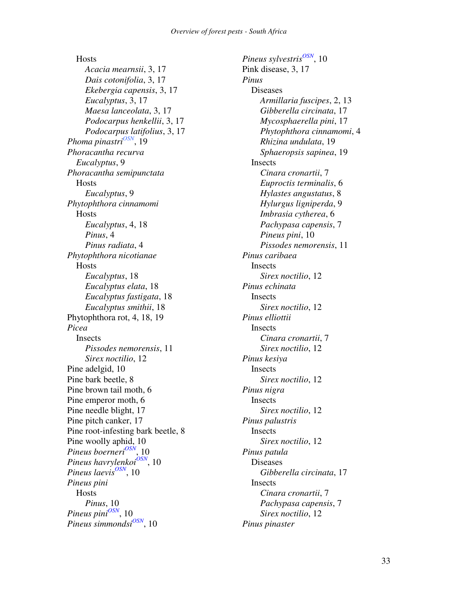**Hosts** *Acacia mearnsii*, 3, 17 *Dais cotonifolia*, 3, 17 *Ekebergia capensis*, 3, 17 *Eucalyptus*, 3, 17 *Maesa lanceolata*, 3, 17 *Podocarpus henkellii*, 3, 17 *Podocarpus latifolius*, 3, 17 *Phoma pinastri OSN* , 19 *Phoracantha recurva Eucalyptus*, 9 *Phoracantha semipunctata* Hosts *Eucalyptus*, 9 *Phytophthora cinnamomi* **Hosts** *Eucalyptus*, 4, 18 *Pinus*, 4 *Pinus radiata*, 4 *Phytophthora nicotianae* **Hosts** *Eucalyptus*, 18 *Eucalyptus elata*, 18 *Eucalyptus fastigata*, 18 *Eucalyptus smithii*, 18 Phytophthora rot, 4, 18, 19 *Picea* Insects *Pissodes nemorensis*, 11 *Sirex noctilio*, 12 Pine adelgid, 10 Pine bark beetle, 8 Pine brown tail moth, 6 Pine emperor moth, 6 Pine needle blight, 17 Pine pitch canker, 17 Pine root-infesting bark beetle, 8 Pine woolly aphid, 10 *Pineus boerneri OSN* , 10 *Pineus havrylenkoi OSN* , 10 *Pineus laevis OSN* , 10 *Pineus pini* Hosts *Pinus*, 10 *Pineus pini OSN* , 10 *Pineus simmondsi OSN* , 10

*Pineus sylvestris OSN* , 10 Pink disease, 3, 17 *Pinus* Diseases *Armillaria fuscipes*, 2, 13 *Gibberella circinata*, 17 *Mycosphaerella pini*, 17 *Phytophthora cinnamomi*, 4 *Rhizina undulata*, 19 *Sphaeropsis sapinea*, 19 **Insects** *Cinara cronartii*, 7 *Euproctis terminalis*, 6 *Hylastes angustatus*, 8 *Hylurgus ligniperda*, 9 *Imbrasia cytherea*, 6 *Pachypasa capensis*, 7 *Pineus pini*, 10 *Pissodes nemorensis*, 11 *Pinus caribaea* **Insects** *Sirex noctilio*, 12 *Pinus echinata* Insects *Sirex noctilio*, 12 *Pinus elliottii* **Insects** *Cinara cronartii*, 7 *Sirex noctilio*, 12 *Pinus kesiya* Insects *Sirex noctilio*, 12 *Pinus nigra* Insects *Sirex noctilio*, 12 *Pinus palustris* Insects *Sirex noctilio*, 12 *Pinus patula* Diseases *Gibberella circinata*, 17 Insects *Cinara cronartii*, 7 *Pachypasa capensis*, 7 *Sirex noctilio*, 12 *Pinus pinaster*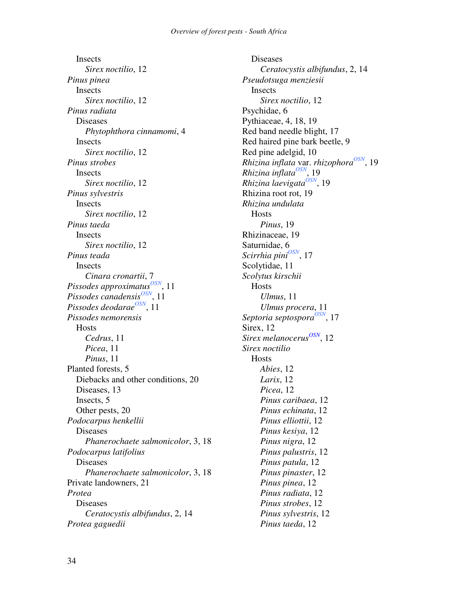**Insects** *Sirex noctilio*, 12 *Pinus pinea* Insects *Sirex noctilio*, 12 *Pinus radiata* Diseases *Phytophthora cinnamomi*, 4 Insects *Sirex noctilio*, 12 *Pinus strobes* **Insects** *Sirex noctilio*, 12 *Pinus sylvestris* **Insects** *Sirex noctilio*, 12 *Pinus taeda* Insects *Sirex noctilio*, 12 *Pinus teada* **Insects** *Cinara cronartii*, 7 *Pissodes approximatus OSN* , 11 *Pissodes canadensis*<sup>OSN</sup>, 11 *Pissodes deodarae OSN* , 11 *Pissodes nemorensis* **Hosts** *Cedrus*, 11 *Picea*, 11 *Pinus*, 11 Planted forests, 5 Diebacks and other conditions, 20 Diseases, 13 Insects, 5 Other pests, 20 *Podocarpus henkellii* Diseases *Phanerochaete salmonicolor*, 3, 18 *Podocarpus latifolius* Diseases *Phanerochaete salmonicolor*, 3, 18 Private landowners, 21 *Protea* Diseases *Ceratocystis albifundus*, 2, 14 *Protea gaguedii*

Diseases *Ceratocystis albifundus*, 2, 14 *Pseudotsuga menziesii* Insects *Sirex noctilio*, 12 Psychidae, 6 Pythiaceae, 4, 18, 19 Red band needle blight, 17 Red haired pine bark beetle, 9 Red pine adelgid, 10 *Rhizina inflata* var. *rhizophora OSN* , 19 *Rhizina inflata OSN* , 19 *Rhizina laevigata OSN* , 19 Rhizina root rot, 19 *Rhizina undulata* **Hosts** *Pinus*, 19 Rhizinaceae, 19 Saturnidae, 6 *Scirrhia pini OSN* , 17 Scolytidae, 11 *Scolytus kirschii* **Hosts** *Ulmus*, 11 *Ulmus procera*, 11 Septoria septospora<sup>OSN</sup>, 17 Sirex, 12 *Sirex melanocerus OSN* , 12 *Sirex noctilio* Hosts *Abies*, 12 *Larix*, 12 *Picea*, 12 *Pinus caribaea*, 12 *Pinus echinata*, 12 *Pinus elliottii*, 12 *Pinus kesiya*, 12 *Pinus nigra*, 12 *Pinus palustris*, 12 *Pinus patula*, 12 *Pinus pinaster*, 12 *Pinus pinea*, 12 *Pinus radiata*, 12 *Pinus strobes*, 12 *Pinus sylvestris*, 12 *Pinus taeda*, 12